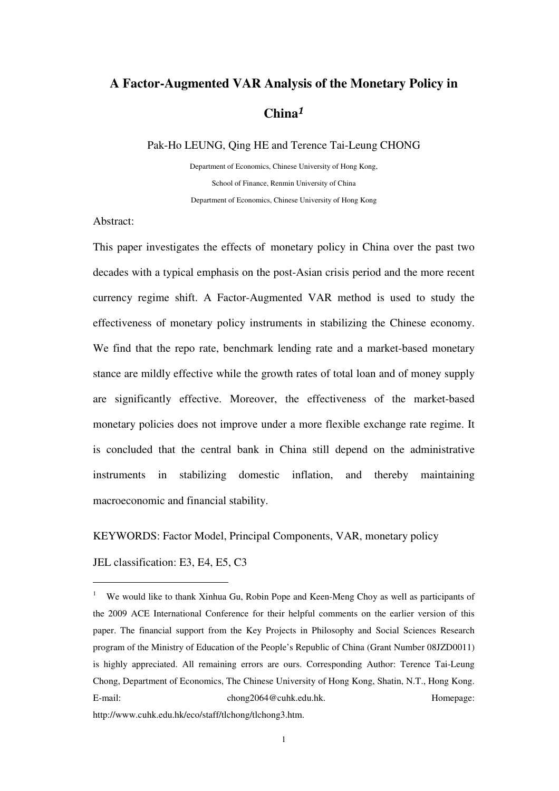# **A Factor-Augmented VAR Analysis of the Monetary Policy in China**<sup>1</sup>

Pak-Ho LEUNG, Qing HE and Terence Tai-Leung CHONG

Department of Economics, Chinese University of Hong Kong, School of Finance, Renmin University of China Department of Economics, Chinese University of Hong Kong

Abstract:

This paper investigates the effects of monetary policy in China over the past two decades with a typical emphasis on the post-Asian crisis period and the more recent currency regime shift. A Factor-Augmented VAR method is used to study the effectiveness of monetary policy instruments in stabilizing the Chinese economy. We find that the repo rate, benchmark lending rate and a market-based monetary stance are mildly effective while the growth rates of total loan and of money supply are significantly effective. Moreover, the effectiveness of the market-based monetary policies does not improve under a more flexible exchange rate regime. It is concluded that the central bank in China still depend on the administrative instruments in stabilizing domestic inflation, and thereby maintaining macroeconomic and financial stability.

KEYWORDS: Factor Model, Principal Components, VAR, monetary policy

JEL classification: E3, E4, E5, C3

 $\overline{a}$ 

<sup>&</sup>lt;sup>1</sup> We would like to thank Xinhua Gu, Robin Pope and Keen-Meng Choy as well as participants of the 2009 ACE International Conference for their helpful comments on the earlier version of this paper. The financial support from the Key Projects in Philosophy and Social Sciences Research program of the Ministry of Education of the People's Republic of China (Grant Number 08JZD0011) is highly appreciated. All remaining errors are ours. Corresponding Author: Terence Tai-Leung Chong, Department of Economics, The Chinese University of Hong Kong, Shatin, N.T., Hong Kong. E-mail: chong2064@cuhk.edu.hk. Homepage:

http://www.cuhk.edu.hk/eco/staff/tlchong/tlchong3.htm.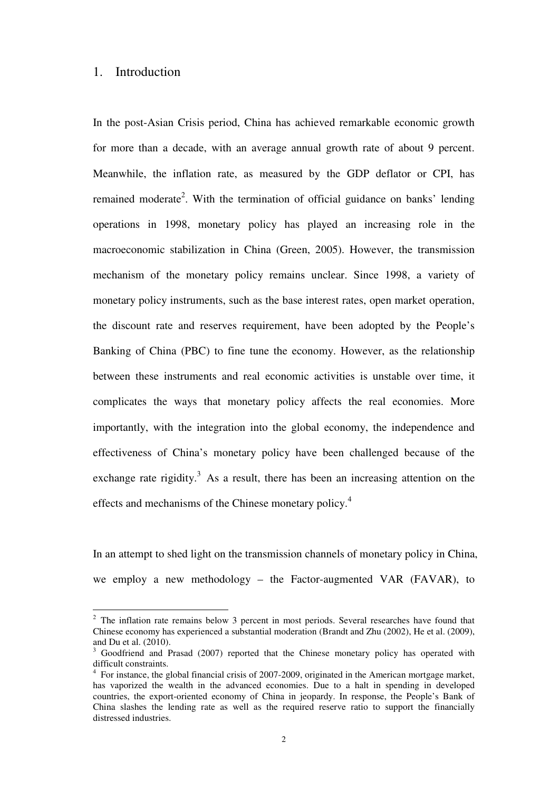# 1. Introduction

 $\overline{a}$ 

In the post-Asian Crisis period, China has achieved remarkable economic growth for more than a decade, with an average annual growth rate of about 9 percent. Meanwhile, the inflation rate, as measured by the GDP deflator or CPI, has remained moderate<sup>2</sup>. With the termination of official guidance on banks' lending operations in 1998, monetary policy has played an increasing role in the macroeconomic stabilization in China (Green, 2005). However, the transmission mechanism of the monetary policy remains unclear. Since 1998, a variety of monetary policy instruments, such as the base interest rates, open market operation, the discount rate and reserves requirement, have been adopted by the People's Banking of China (PBC) to fine tune the economy. However, as the relationship between these instruments and real economic activities is unstable over time, it complicates the ways that monetary policy affects the real economies. More importantly, with the integration into the global economy, the independence and effectiveness of China's monetary policy have been challenged because of the exchange rate rigidity.<sup>3</sup> As a result, there has been an increasing attention on the effects and mechanisms of the Chinese monetary policy.<sup>4</sup>

In an attempt to shed light on the transmission channels of monetary policy in China, we employ a new methodology – the Factor-augmented VAR (FAVAR), to

 $2$  The inflation rate remains below 3 percent in most periods. Several researches have found that Chinese economy has experienced a substantial moderation (Brandt and Zhu (2002), He et al. (2009), and Du et al. (2010).

<sup>3</sup> Goodfriend and Prasad (2007) reported that the Chinese monetary policy has operated with difficult constraints.

<sup>&</sup>lt;sup>4</sup> For instance, the global financial crisis of 2007-2009, originated in the American mortgage market, has vaporized the wealth in the advanced economies. Due to a halt in spending in developed countries, the export-oriented economy of China in jeopardy. In response, the People's Bank of China slashes the lending rate as well as the required reserve ratio to support the financially distressed industries.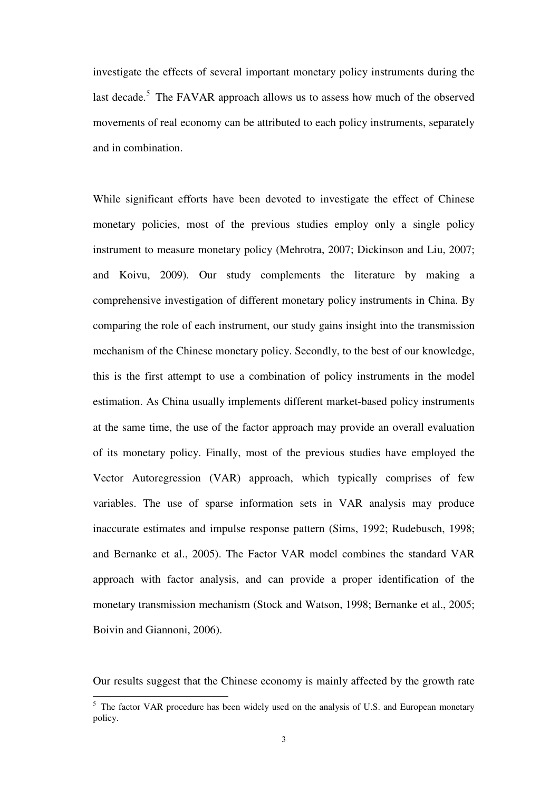investigate the effects of several important monetary policy instruments during the last decade.<sup>5</sup> The FAVAR approach allows us to assess how much of the observed movements of real economy can be attributed to each policy instruments, separately and in combination.

While significant efforts have been devoted to investigate the effect of Chinese monetary policies, most of the previous studies employ only a single policy instrument to measure monetary policy (Mehrotra, 2007; Dickinson and Liu, 2007; and Koivu, 2009). Our study complements the literature by making a comprehensive investigation of different monetary policy instruments in China. By comparing the role of each instrument, our study gains insight into the transmission mechanism of the Chinese monetary policy. Secondly, to the best of our knowledge, this is the first attempt to use a combination of policy instruments in the model estimation. As China usually implements different market-based policy instruments at the same time, the use of the factor approach may provide an overall evaluation of its monetary policy. Finally, most of the previous studies have employed the Vector Autoregression (VAR) approach, which typically comprises of few variables. The use of sparse information sets in VAR analysis may produce inaccurate estimates and impulse response pattern (Sims, 1992; Rudebusch, 1998; and Bernanke et al., 2005). The Factor VAR model combines the standard VAR approach with factor analysis, and can provide a proper identification of the monetary transmission mechanism (Stock and Watson, 1998; Bernanke et al., 2005; Boivin and Giannoni, 2006).

Our results suggest that the Chinese economy is mainly affected by the growth rate

<sup>&</sup>lt;sup>5</sup> The factor VAR procedure has been widely used on the analysis of U.S. and European monetary policy.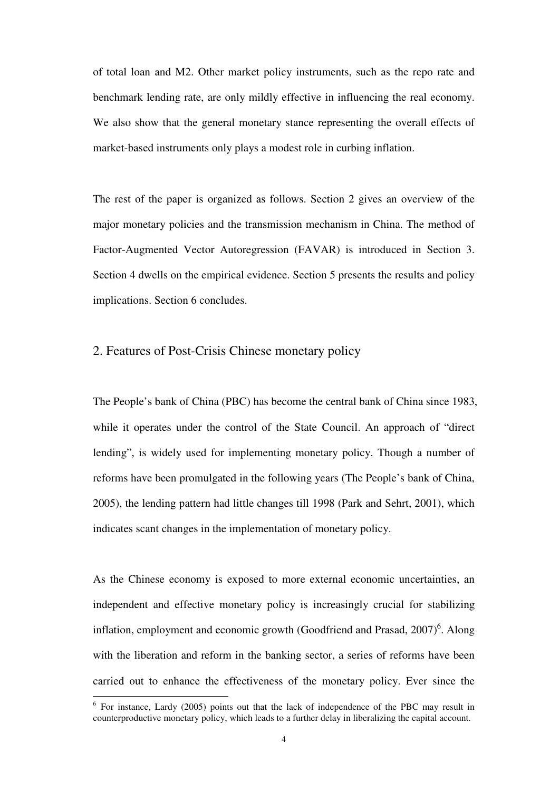of total loan and M2. Other market policy instruments, such as the repo rate and benchmark lending rate, are only mildly effective in influencing the real economy. We also show that the general monetary stance representing the overall effects of market-based instruments only plays a modest role in curbing inflation.

The rest of the paper is organized as follows. Section 2 gives an overview of the major monetary policies and the transmission mechanism in China. The method of Factor-Augmented Vector Autoregression (FAVAR) is introduced in Section 3. Section 4 dwells on the empirical evidence. Section 5 presents the results and policy implications. Section 6 concludes.

### 2. Features of Post-Crisis Chinese monetary policy

The People's bank of China (PBC) has become the central bank of China since 1983, while it operates under the control of the State Council. An approach of "direct lending", is widely used for implementing monetary policy. Though a number of reforms have been promulgated in the following years (The People's bank of China, 2005), the lending pattern had little changes till 1998 (Park and Sehrt, 2001), which indicates scant changes in the implementation of monetary policy.

As the Chinese economy is exposed to more external economic uncertainties, an independent and effective monetary policy is increasingly crucial for stabilizing inflation, employment and economic growth (Goodfriend and Prasad,  $2007)^6$ . Along with the liberation and reform in the banking sector, a series of reforms have been carried out to enhance the effectiveness of the monetary policy. Ever since the

 $\overline{a}$ 

<sup>&</sup>lt;sup>6</sup> For instance, Lardy (2005) points out that the lack of independence of the PBC may result in counterproductive monetary policy, which leads to a further delay in liberalizing the capital account.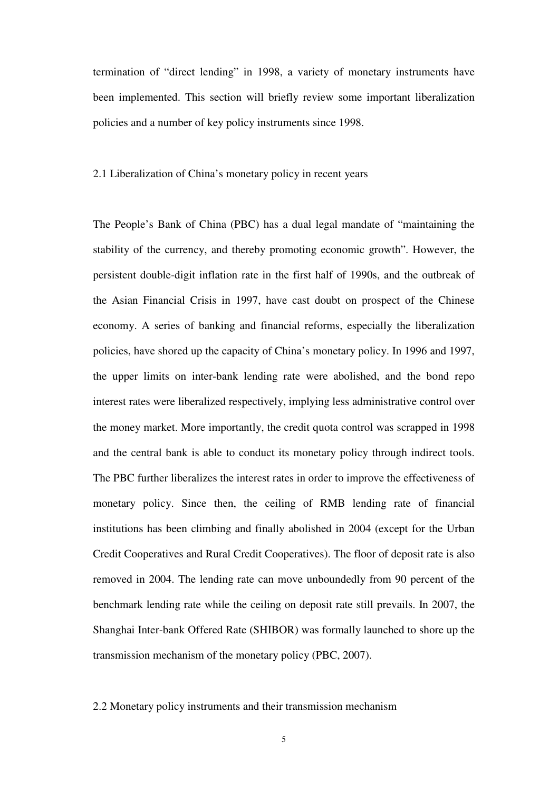termination of "direct lending" in 1998, a variety of monetary instruments have been implemented. This section will briefly review some important liberalization policies and a number of key policy instruments since 1998.

#### 2.1 Liberalization of China's monetary policy in recent years

The People's Bank of China (PBC) has a dual legal mandate of "maintaining the stability of the currency, and thereby promoting economic growth". However, the persistent double-digit inflation rate in the first half of 1990s, and the outbreak of the Asian Financial Crisis in 1997, have cast doubt on prospect of the Chinese economy. A series of banking and financial reforms, especially the liberalization policies, have shored up the capacity of China's monetary policy. In 1996 and 1997, the upper limits on inter-bank lending rate were abolished, and the bond repo interest rates were liberalized respectively, implying less administrative control over the money market. More importantly, the credit quota control was scrapped in 1998 and the central bank is able to conduct its monetary policy through indirect tools. The PBC further liberalizes the interest rates in order to improve the effectiveness of monetary policy. Since then, the ceiling of RMB lending rate of financial institutions has been climbing and finally abolished in 2004 (except for the Urban Credit Cooperatives and Rural Credit Cooperatives). The floor of deposit rate is also removed in 2004. The lending rate can move unboundedly from 90 percent of the benchmark lending rate while the ceiling on deposit rate still prevails. In 2007, the Shanghai Inter-bank Offered Rate (SHIBOR) was formally launched to shore up the transmission mechanism of the monetary policy (PBC, 2007).

#### 2.2 Monetary policy instruments and their transmission mechanism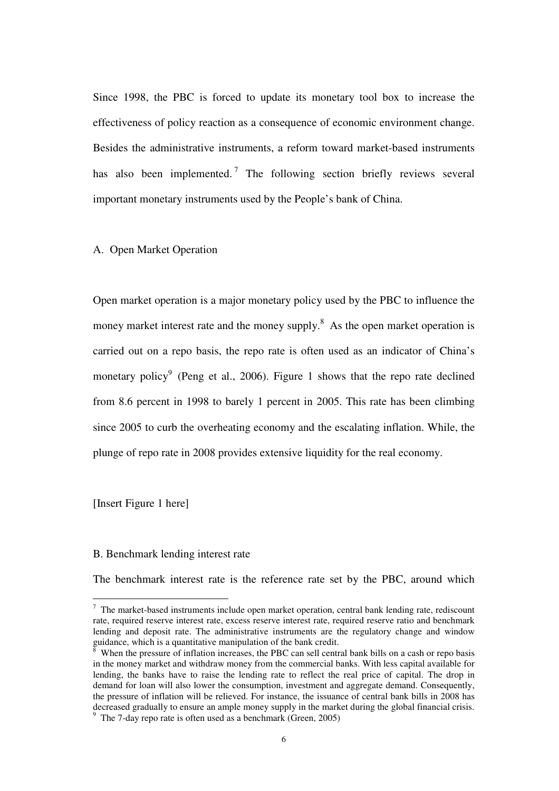Since 1998, the PBC is forced to update its monetary tool box to increase the effectiveness of policy reaction as a consequence of economic environment change. Besides the administrative instruments, a reform toward market-based instruments has also been implemented.<sup>7</sup> The following section briefly reviews several important monetary instruments used by the People's bank of China.

#### A. Open Market Operation

Open market operation is a major monetary policy used by the PBC to influence the money market interest rate and the money supply.<sup>8</sup> As the open market operation is carried out on a repo basis, the repo rate is often used as an indicator of China's monetary policy<sup>9</sup> (Peng et al., 2006). Figure 1 shows that the repo rate declined from 8.6 percent in 1998 to barely 1 percent in 2005. This rate has been climbing since 2005 to curb the overheating economy and the escalating inflation. While, the plunge of repo rate in 2008 provides extensive liquidity for the real economy.

#### [Insert Figure 1 here]

 $\overline{a}$ 

#### B. Benchmark lending interest rate

The benchmark interest rate is the reference rate set by the PBC, around which

 $<sup>7</sup>$  The market-based instruments include open market operation, central bank lending rate, rediscount</sup> rate, required reserve interest rate, excess reserve interest rate, required reserve ratio and benchmark lending and deposit rate. The administrative instruments are the regulatory change and window guidance, which is a quantitative manipulation of the bank credit.

<sup>8</sup> When the pressure of inflation increases, the PBC can sell central bank bills on a cash or repo basis in the money market and withdraw money from the commercial banks. With less capital available for lending, the banks have to raise the lending rate to reflect the real price of capital. The drop in demand for loan will also lower the consumption, investment and aggregate demand. Consequently, the pressure of inflation will be relieved. For instance, the issuance of central bank bills in 2008 has decreased gradually to ensure an ample money supply in the market during the global financial crisis. 9

The 7-day repo rate is often used as a benchmark (Green, 2005)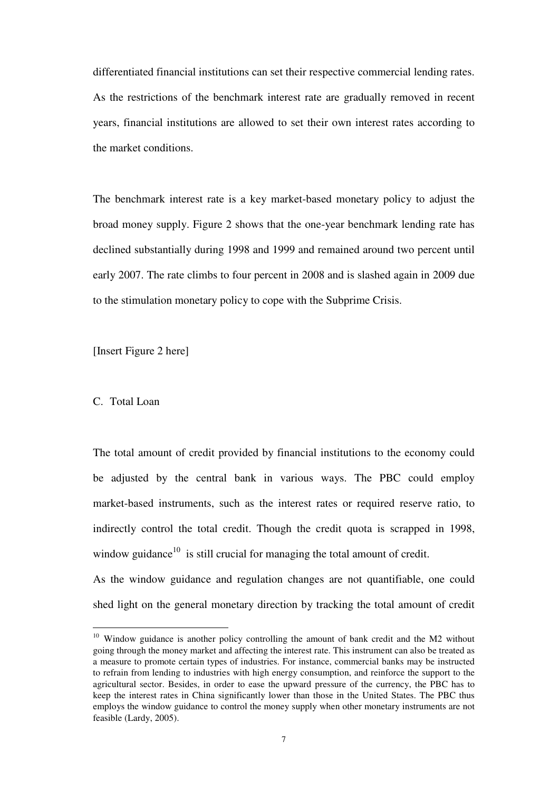differentiated financial institutions can set their respective commercial lending rates. As the restrictions of the benchmark interest rate are gradually removed in recent years, financial institutions are allowed to set their own interest rates according to the market conditions.

The benchmark interest rate is a key market-based monetary policy to adjust the broad money supply. Figure 2 shows that the one-year benchmark lending rate has declined substantially during 1998 and 1999 and remained around two percent until early 2007. The rate climbs to four percent in 2008 and is slashed again in 2009 due to the stimulation monetary policy to cope with the Subprime Crisis.

[Insert Figure 2 here]

#### C. Total Loan

 $\overline{a}$ 

The total amount of credit provided by financial institutions to the economy could be adjusted by the central bank in various ways. The PBC could employ market-based instruments, such as the interest rates or required reserve ratio, to indirectly control the total credit. Though the credit quota is scrapped in 1998, window guidance<sup>10</sup> is still crucial for managing the total amount of credit.

As the window guidance and regulation changes are not quantifiable, one could shed light on the general monetary direction by tracking the total amount of credit

<sup>&</sup>lt;sup>10</sup> Window guidance is another policy controlling the amount of bank credit and the M2 without going through the money market and affecting the interest rate. This instrument can also be treated as a measure to promote certain types of industries. For instance, commercial banks may be instructed to refrain from lending to industries with high energy consumption, and reinforce the support to the agricultural sector. Besides, in order to ease the upward pressure of the currency, the PBC has to keep the interest rates in China significantly lower than those in the United States. The PBC thus employs the window guidance to control the money supply when other monetary instruments are not feasible (Lardy, 2005).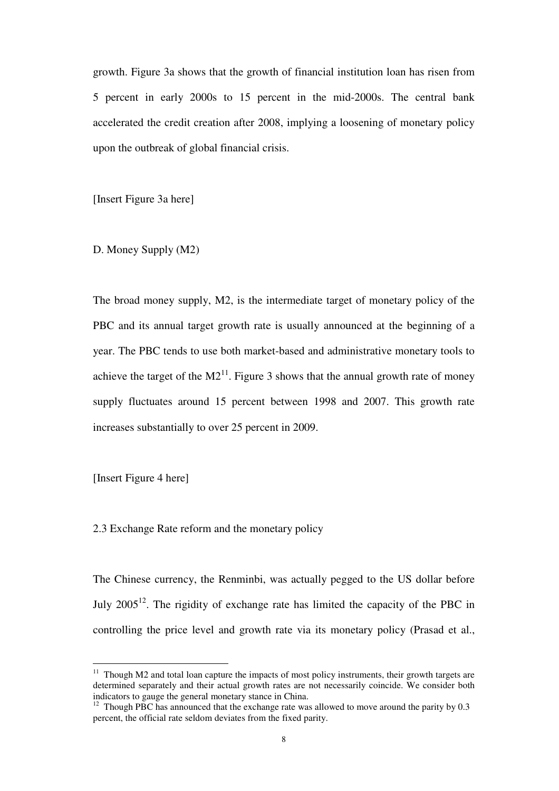growth. Figure 3a shows that the growth of financial institution loan has risen from 5 percent in early 2000s to 15 percent in the mid-2000s. The central bank accelerated the credit creation after 2008, implying a loosening of monetary policy upon the outbreak of global financial crisis.

[Insert Figure 3a here]

D. Money Supply (M2)

The broad money supply, M2, is the intermediate target of monetary policy of the PBC and its annual target growth rate is usually announced at the beginning of a year. The PBC tends to use both market-based and administrative monetary tools to achieve the target of the  $M2^{11}$ . Figure 3 shows that the annual growth rate of money supply fluctuates around 15 percent between 1998 and 2007. This growth rate increases substantially to over 25 percent in 2009.

[Insert Figure 4 here]

 $\overline{a}$ 

2.3 Exchange Rate reform and the monetary policy

The Chinese currency, the Renminbi, was actually pegged to the US dollar before July  $2005^{12}$ . The rigidity of exchange rate has limited the capacity of the PBC in controlling the price level and growth rate via its monetary policy (Prasad et al.,

 $11$  Though M2 and total loan capture the impacts of most policy instruments, their growth targets are determined separately and their actual growth rates are not necessarily coincide. We consider both indicators to gauge the general monetary stance in China.

 $12$  Though PBC has announced that the exchange rate was allowed to move around the parity by 0.3 percent, the official rate seldom deviates from the fixed parity.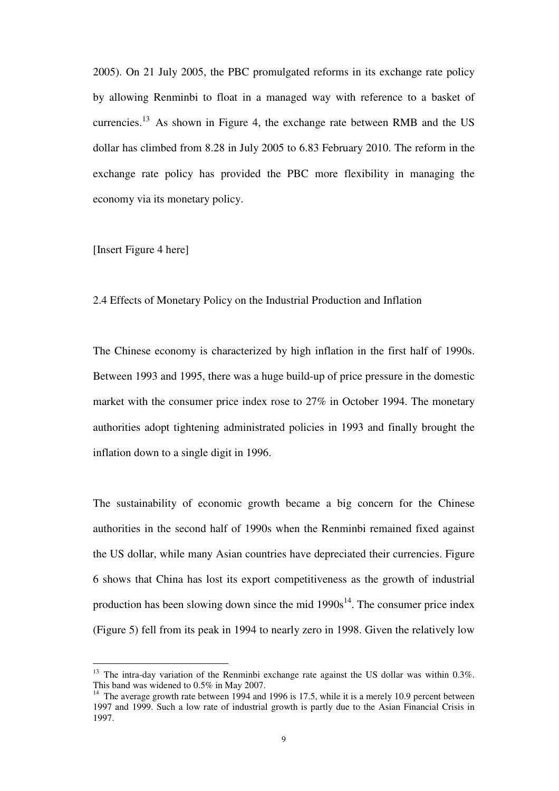2005). On 21 July 2005, the PBC promulgated reforms in its exchange rate policy by allowing Renminbi to float in a managed way with reference to a basket of currencies.<sup>13</sup> As shown in Figure 4, the exchange rate between RMB and the US dollar has climbed from 8.28 in July 2005 to 6.83 February 2010. The reform in the exchange rate policy has provided the PBC more flexibility in managing the economy via its monetary policy.

[Insert Figure 4 here]

 $\overline{a}$ 

2.4 Effects of Monetary Policy on the Industrial Production and Inflation

The Chinese economy is characterized by high inflation in the first half of 1990s. Between 1993 and 1995, there was a huge build-up of price pressure in the domestic market with the consumer price index rose to 27% in October 1994. The monetary authorities adopt tightening administrated policies in 1993 and finally brought the inflation down to a single digit in 1996.

The sustainability of economic growth became a big concern for the Chinese authorities in the second half of 1990s when the Renminbi remained fixed against the US dollar, while many Asian countries have depreciated their currencies. Figure 6 shows that China has lost its export competitiveness as the growth of industrial production has been slowing down since the mid  $1990s^{14}$ . The consumer price index (Figure 5) fell from its peak in 1994 to nearly zero in 1998. Given the relatively low

 $13$  The intra-day variation of the Renminbi exchange rate against the US dollar was within 0.3%. This band was widened to 0.5% in May 2007.

<sup>&</sup>lt;sup>14</sup> The average growth rate between 1994 and 1996 is 17.5, while it is a merely 10.9 percent between 1997 and 1999. Such a low rate of industrial growth is partly due to the Asian Financial Crisis in 1997.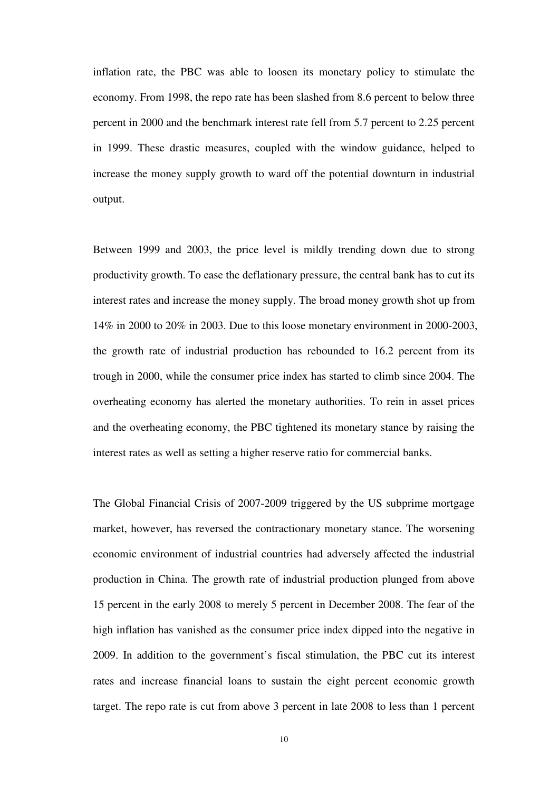inflation rate, the PBC was able to loosen its monetary policy to stimulate the economy. From 1998, the repo rate has been slashed from 8.6 percent to below three percent in 2000 and the benchmark interest rate fell from 5.7 percent to 2.25 percent in 1999. These drastic measures, coupled with the window guidance, helped to increase the money supply growth to ward off the potential downturn in industrial output.

Between 1999 and 2003, the price level is mildly trending down due to strong productivity growth. To ease the deflationary pressure, the central bank has to cut its interest rates and increase the money supply. The broad money growth shot up from 14% in 2000 to 20% in 2003. Due to this loose monetary environment in 2000-2003, the growth rate of industrial production has rebounded to 16.2 percent from its trough in 2000, while the consumer price index has started to climb since 2004. The overheating economy has alerted the monetary authorities. To rein in asset prices and the overheating economy, the PBC tightened its monetary stance by raising the interest rates as well as setting a higher reserve ratio for commercial banks.

The Global Financial Crisis of 2007-2009 triggered by the US subprime mortgage market, however, has reversed the contractionary monetary stance. The worsening economic environment of industrial countries had adversely affected the industrial production in China. The growth rate of industrial production plunged from above 15 percent in the early 2008 to merely 5 percent in December 2008. The fear of the high inflation has vanished as the consumer price index dipped into the negative in 2009. In addition to the government's fiscal stimulation, the PBC cut its interest rates and increase financial loans to sustain the eight percent economic growth target. The repo rate is cut from above 3 percent in late 2008 to less than 1 percent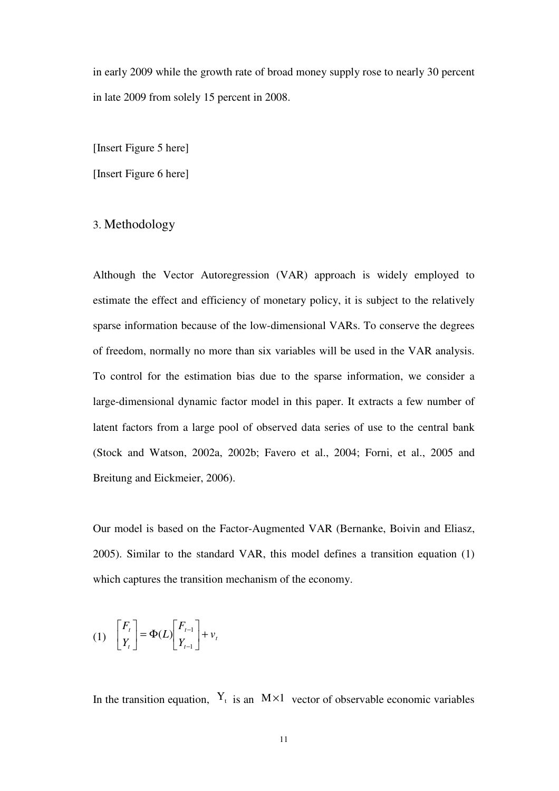in early 2009 while the growth rate of broad money supply rose to nearly 30 percent in late 2009 from solely 15 percent in 2008.

[Insert Figure 5 here]

[Insert Figure 6 here]

# 3. Methodology

Although the Vector Autoregression (VAR) approach is widely employed to estimate the effect and efficiency of monetary policy, it is subject to the relatively sparse information because of the low-dimensional VARs. To conserve the degrees of freedom, normally no more than six variables will be used in the VAR analysis. To control for the estimation bias due to the sparse information, we consider a large-dimensional dynamic factor model in this paper. It extracts a few number of latent factors from a large pool of observed data series of use to the central bank (Stock and Watson, 2002a, 2002b; Favero et al., 2004; Forni, et al., 2005 and Breitung and Eickmeier, 2006).

Our model is based on the Factor-Augmented VAR (Bernanke, Boivin and Eliasz, 2005). Similar to the standard VAR, this model defines a transition equation (1) which captures the transition mechanism of the economy.

$$
(1) \quad \begin{bmatrix} F_t \\ Y_t \end{bmatrix} = \Phi(L) \begin{bmatrix} F_{t-1} \\ Y_{t-1} \end{bmatrix} + v_t
$$

In the transition equation,  $Y_t$  is an  $M \times 1$  vector of observable economic variables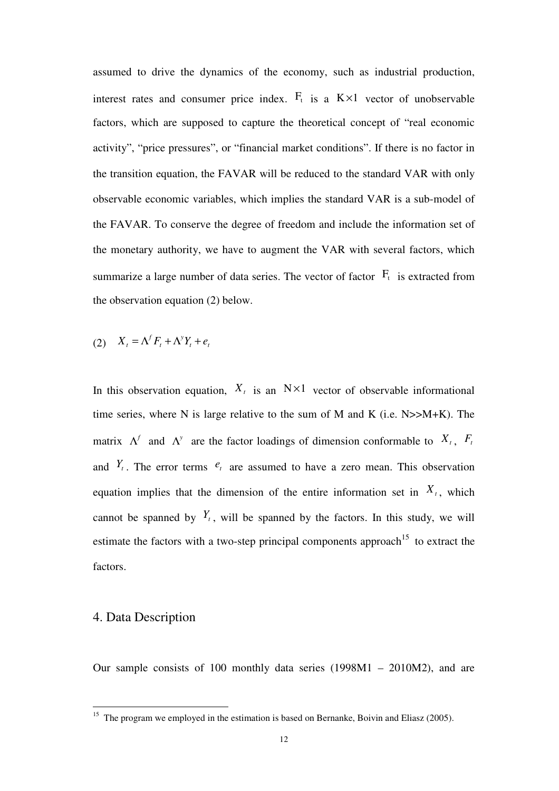assumed to drive the dynamics of the economy, such as industrial production, interest rates and consumer price index.  $F_t$  is a K $\times$ 1 vector of unobservable factors, which are supposed to capture the theoretical concept of "real economic activity", "price pressures", or "financial market conditions". If there is no factor in the transition equation, the FAVAR will be reduced to the standard VAR with only observable economic variables, which implies the standard VAR is a sub-model of the FAVAR. To conserve the degree of freedom and include the information set of the monetary authority, we have to augment the VAR with several factors, which summarize a large number of data series. The vector of factor  $F_t$  is extracted from the observation equation (2) below.

$$
(2) \quad X_t = \Lambda^f F_t + \Lambda^y Y_t + e_t
$$

In this observation equation,  $X_t$  is an  $N \times 1$  vector of observable informational time series, where N is large relative to the sum of M and K (i.e.  $N>>M+K$ ). The matrix  $\Lambda^f$  and  $\Lambda^y$  are the factor loadings of dimension conformable to  $X_t$ ,  $F_t$ and  $Y_t$ . The error terms  $e_t$  are assumed to have a zero mean. This observation equation implies that the dimension of the entire information set in  $X_t$ , which cannot be spanned by  $Y_t$ , will be spanned by the factors. In this study, we will estimate the factors with a two-step principal components approach<sup>15</sup> to extract the factors.

# 4. Data Description

 $\overline{a}$ 

Our sample consists of 100 monthly data series (1998M1 – 2010M2), and are

<sup>&</sup>lt;sup>15</sup> The program we employed in the estimation is based on Bernanke, Boivin and Eliasz (2005).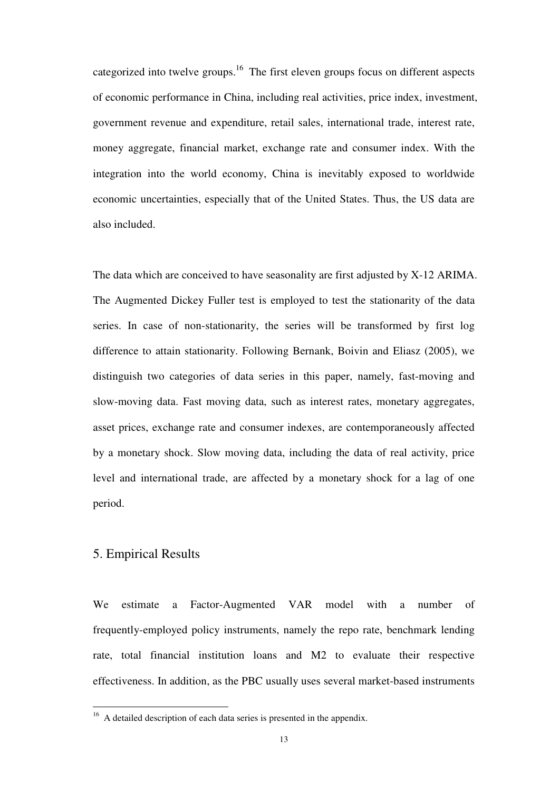categorized into twelve groups.<sup>16</sup> The first eleven groups focus on different aspects of economic performance in China, including real activities, price index, investment, government revenue and expenditure, retail sales, international trade, interest rate, money aggregate, financial market, exchange rate and consumer index. With the integration into the world economy, China is inevitably exposed to worldwide economic uncertainties, especially that of the United States. Thus, the US data are also included.

The data which are conceived to have seasonality are first adjusted by X-12 ARIMA. The Augmented Dickey Fuller test is employed to test the stationarity of the data series. In case of non-stationarity, the series will be transformed by first log difference to attain stationarity. Following Bernank, Boivin and Eliasz (2005), we distinguish two categories of data series in this paper, namely, fast-moving and slow-moving data. Fast moving data, such as interest rates, monetary aggregates, asset prices, exchange rate and consumer indexes, are contemporaneously affected by a monetary shock. Slow moving data, including the data of real activity, price level and international trade, are affected by a monetary shock for a lag of one period.

# 5. Empirical Results

 $\overline{a}$ 

We estimate a Factor-Augmented VAR model with a number of frequently-employed policy instruments, namely the repo rate, benchmark lending rate, total financial institution loans and M2 to evaluate their respective effectiveness. In addition, as the PBC usually uses several market-based instruments

 $16$  A detailed description of each data series is presented in the appendix.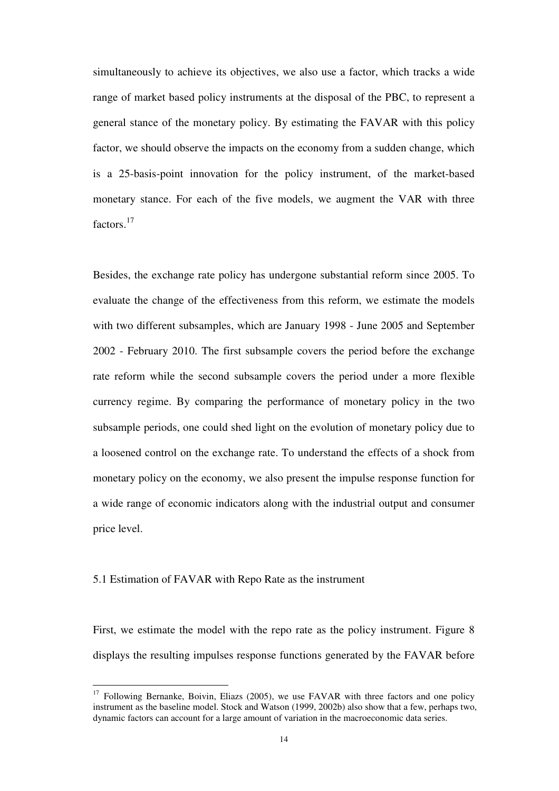simultaneously to achieve its objectives, we also use a factor, which tracks a wide range of market based policy instruments at the disposal of the PBC, to represent a general stance of the monetary policy. By estimating the FAVAR with this policy factor, we should observe the impacts on the economy from a sudden change, which is a 25-basis-point innovation for the policy instrument, of the market-based monetary stance. For each of the five models, we augment the VAR with three factors.<sup>17</sup>

Besides, the exchange rate policy has undergone substantial reform since 2005. To evaluate the change of the effectiveness from this reform, we estimate the models with two different subsamples, which are January 1998 - June 2005 and September 2002 - February 2010. The first subsample covers the period before the exchange rate reform while the second subsample covers the period under a more flexible currency regime. By comparing the performance of monetary policy in the two subsample periods, one could shed light on the evolution of monetary policy due to a loosened control on the exchange rate. To understand the effects of a shock from monetary policy on the economy, we also present the impulse response function for a wide range of economic indicators along with the industrial output and consumer price level.

#### 5.1 Estimation of FAVAR with Repo Rate as the instrument

 $\overline{a}$ 

First, we estimate the model with the repo rate as the policy instrument. Figure 8 displays the resulting impulses response functions generated by the FAVAR before

<sup>&</sup>lt;sup>17</sup> Following Bernanke, Boivin, Eliazs (2005), we use FAVAR with three factors and one policy instrument as the baseline model. Stock and Watson (1999, 2002b) also show that a few, perhaps two, dynamic factors can account for a large amount of variation in the macroeconomic data series.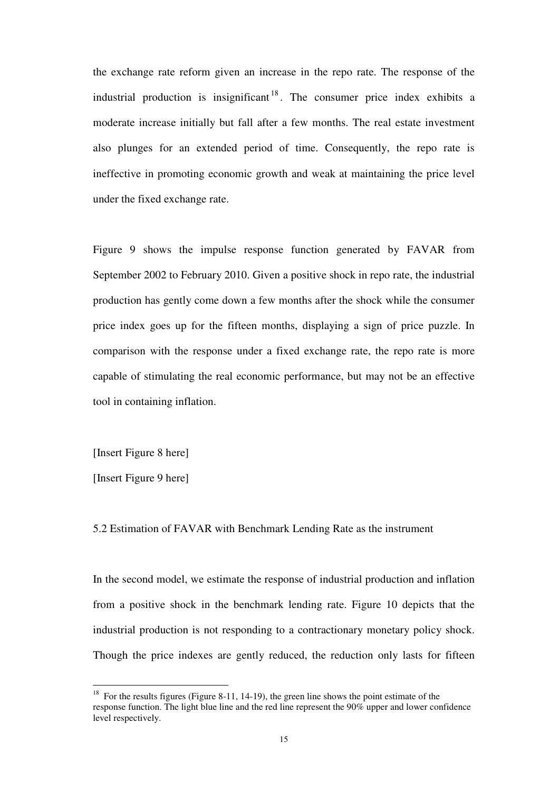the exchange rate reform given an increase in the repo rate. The response of the industrial production is insignificant  $18$ . The consumer price index exhibits a moderate increase initially but fall after a few months. The real estate investment also plunges for an extended period of time. Consequently, the repo rate is ineffective in promoting economic growth and weak at maintaining the price level under the fixed exchange rate.

Figure 9 shows the impulse response function generated by FAVAR from September 2002 to February 2010. Given a positive shock in repo rate, the industrial production has gently come down a few months after the shock while the consumer price index goes up for the fifteen months, displaying a sign of price puzzle. In comparison with the response under a fixed exchange rate, the repo rate is more capable of stimulating the real economic performance, but may not be an effective tool in containing inflation.

[Insert Figure 8 here]

[Insert Figure 9 here]

 $\overline{a}$ 

5.2 Estimation of FAVAR with Benchmark Lending Rate as the instrument

In the second model, we estimate the response of industrial production and inflation from a positive shock in the benchmark lending rate. Figure 10 depicts that the industrial production is not responding to a contractionary monetary policy shock. Though the price indexes are gently reduced, the reduction only lasts for fifteen

<sup>&</sup>lt;sup>18</sup> For the results figures (Figure 8-11, 14-19), the green line shows the point estimate of the response function. The light blue line and the red line represent the 90% upper and lower confidence level respectively.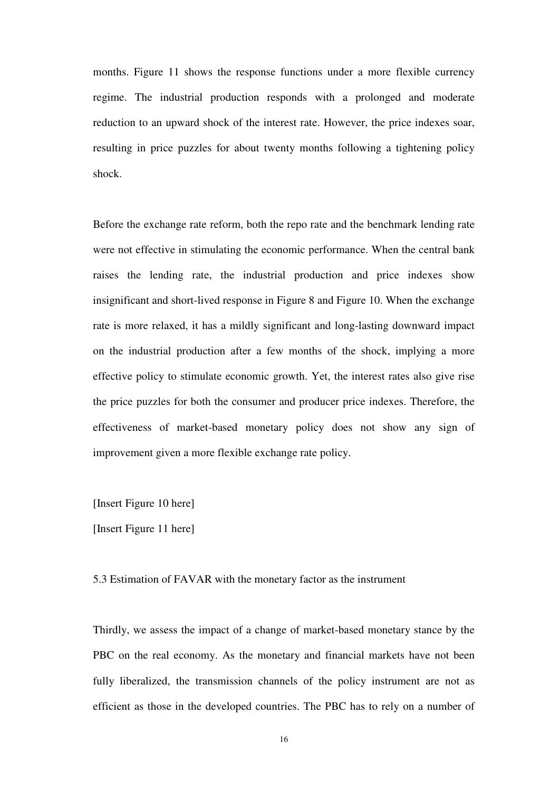months. Figure 11 shows the response functions under a more flexible currency regime. The industrial production responds with a prolonged and moderate reduction to an upward shock of the interest rate. However, the price indexes soar, resulting in price puzzles for about twenty months following a tightening policy shock.

Before the exchange rate reform, both the repo rate and the benchmark lending rate were not effective in stimulating the economic performance. When the central bank raises the lending rate, the industrial production and price indexes show insignificant and short-lived response in Figure 8 and Figure 10. When the exchange rate is more relaxed, it has a mildly significant and long-lasting downward impact on the industrial production after a few months of the shock, implying a more effective policy to stimulate economic growth. Yet, the interest rates also give rise the price puzzles for both the consumer and producer price indexes. Therefore, the effectiveness of market-based monetary policy does not show any sign of improvement given a more flexible exchange rate policy.

[Insert Figure 10 here]

[Insert Figure 11 here]

5.3 Estimation of FAVAR with the monetary factor as the instrument

Thirdly, we assess the impact of a change of market-based monetary stance by the PBC on the real economy. As the monetary and financial markets have not been fully liberalized, the transmission channels of the policy instrument are not as efficient as those in the developed countries. The PBC has to rely on a number of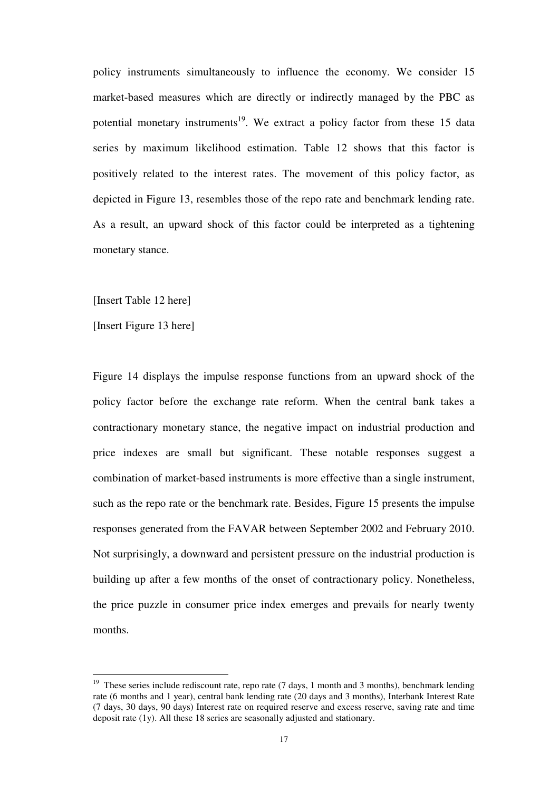policy instruments simultaneously to influence the economy. We consider 15 market-based measures which are directly or indirectly managed by the PBC as potential monetary instruments<sup>19</sup>. We extract a policy factor from these 15 data series by maximum likelihood estimation. Table 12 shows that this factor is positively related to the interest rates. The movement of this policy factor, as depicted in Figure 13, resembles those of the repo rate and benchmark lending rate. As a result, an upward shock of this factor could be interpreted as a tightening monetary stance.

[Insert Table 12 here]

[Insert Figure 13 here]

 $\overline{a}$ 

Figure 14 displays the impulse response functions from an upward shock of the policy factor before the exchange rate reform. When the central bank takes a contractionary monetary stance, the negative impact on industrial production and price indexes are small but significant. These notable responses suggest a combination of market-based instruments is more effective than a single instrument, such as the repo rate or the benchmark rate. Besides, Figure 15 presents the impulse responses generated from the FAVAR between September 2002 and February 2010. Not surprisingly, a downward and persistent pressure on the industrial production is building up after a few months of the onset of contractionary policy. Nonetheless, the price puzzle in consumer price index emerges and prevails for nearly twenty months.

<sup>19</sup> These series include rediscount rate, repo rate (7 days, 1 month and 3 months), benchmark lending rate (6 months and 1 year), central bank lending rate (20 days and 3 months), Interbank Interest Rate (7 days, 30 days, 90 days) Interest rate on required reserve and excess reserve, saving rate and time deposit rate (1y). All these 18 series are seasonally adjusted and stationary.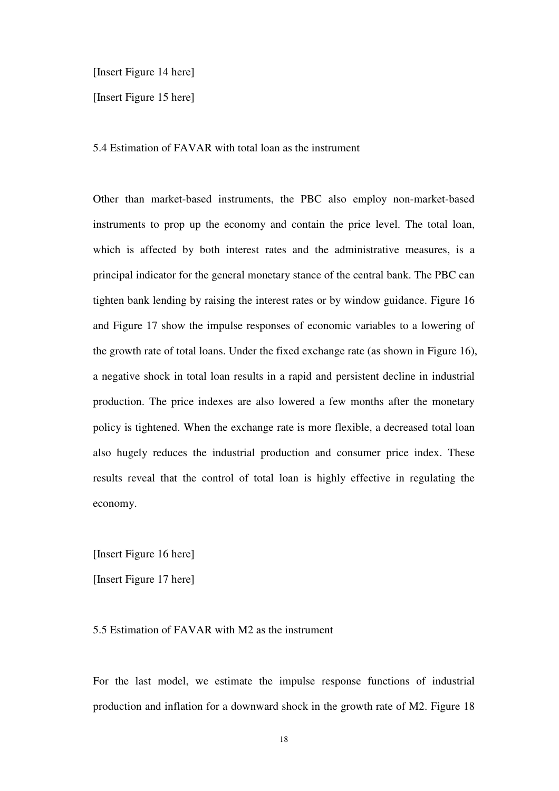[Insert Figure 14 here]

[Insert Figure 15 here]

5.4 Estimation of FAVAR with total loan as the instrument

Other than market-based instruments, the PBC also employ non-market-based instruments to prop up the economy and contain the price level. The total loan, which is affected by both interest rates and the administrative measures, is a principal indicator for the general monetary stance of the central bank. The PBC can tighten bank lending by raising the interest rates or by window guidance. Figure 16 and Figure 17 show the impulse responses of economic variables to a lowering of the growth rate of total loans. Under the fixed exchange rate (as shown in Figure 16), a negative shock in total loan results in a rapid and persistent decline in industrial production. The price indexes are also lowered a few months after the monetary policy is tightened. When the exchange rate is more flexible, a decreased total loan also hugely reduces the industrial production and consumer price index. These results reveal that the control of total loan is highly effective in regulating the economy.

[Insert Figure 16 here]

[Insert Figure 17 here]

#### 5.5 Estimation of FAVAR with M2 as the instrument

For the last model, we estimate the impulse response functions of industrial production and inflation for a downward shock in the growth rate of M2. Figure 18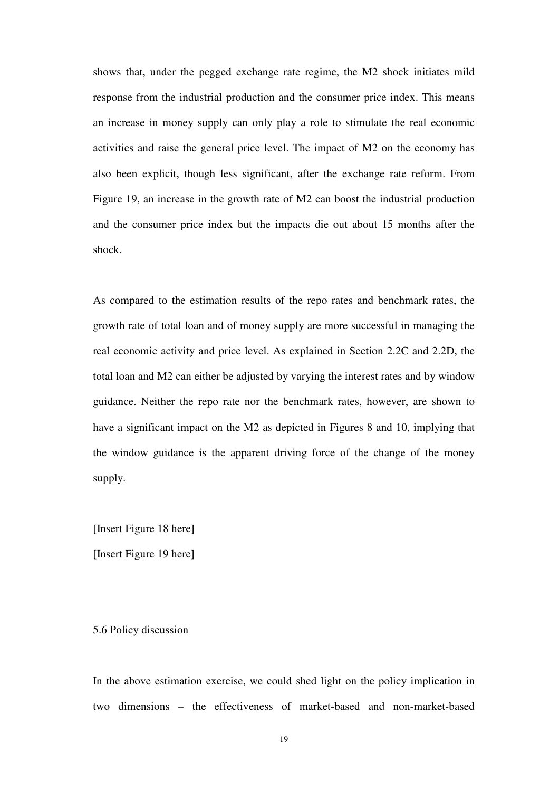shows that, under the pegged exchange rate regime, the M2 shock initiates mild response from the industrial production and the consumer price index. This means an increase in money supply can only play a role to stimulate the real economic activities and raise the general price level. The impact of M2 on the economy has also been explicit, though less significant, after the exchange rate reform. From Figure 19, an increase in the growth rate of M2 can boost the industrial production and the consumer price index but the impacts die out about 15 months after the shock.

As compared to the estimation results of the repo rates and benchmark rates, the growth rate of total loan and of money supply are more successful in managing the real economic activity and price level. As explained in Section 2.2C and 2.2D, the total loan and M2 can either be adjusted by varying the interest rates and by window guidance. Neither the repo rate nor the benchmark rates, however, are shown to have a significant impact on the M2 as depicted in Figures 8 and 10, implying that the window guidance is the apparent driving force of the change of the money supply.

[Insert Figure 18 here]

[Insert Figure 19 here]

#### 5.6 Policy discussion

In the above estimation exercise, we could shed light on the policy implication in two dimensions – the effectiveness of market-based and non-market-based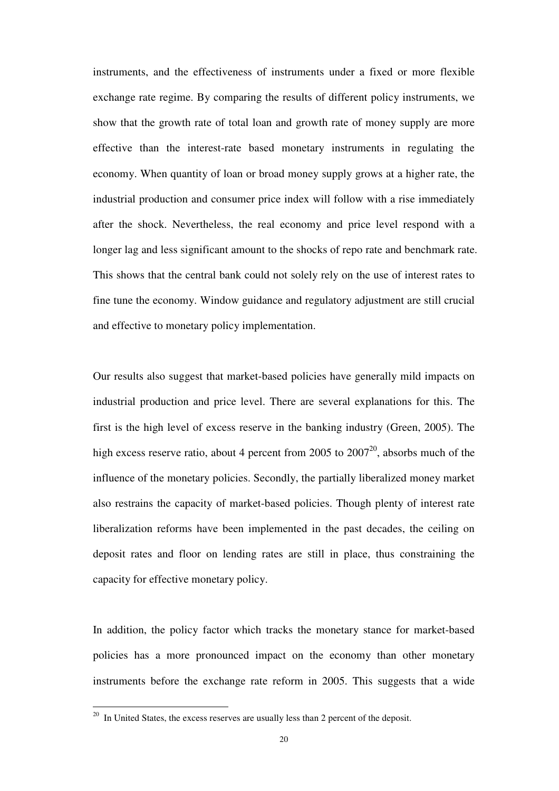instruments, and the effectiveness of instruments under a fixed or more flexible exchange rate regime. By comparing the results of different policy instruments, we show that the growth rate of total loan and growth rate of money supply are more effective than the interest-rate based monetary instruments in regulating the economy. When quantity of loan or broad money supply grows at a higher rate, the industrial production and consumer price index will follow with a rise immediately after the shock. Nevertheless, the real economy and price level respond with a longer lag and less significant amount to the shocks of repo rate and benchmark rate. This shows that the central bank could not solely rely on the use of interest rates to fine tune the economy. Window guidance and regulatory adjustment are still crucial and effective to monetary policy implementation.

Our results also suggest that market-based policies have generally mild impacts on industrial production and price level. There are several explanations for this. The first is the high level of excess reserve in the banking industry (Green, 2005). The high excess reserve ratio, about 4 percent from 2005 to  $2007^{20}$ , absorbs much of the influence of the monetary policies. Secondly, the partially liberalized money market also restrains the capacity of market-based policies. Though plenty of interest rate liberalization reforms have been implemented in the past decades, the ceiling on deposit rates and floor on lending rates are still in place, thus constraining the capacity for effective monetary policy.

In addition, the policy factor which tracks the monetary stance for market-based policies has a more pronounced impact on the economy than other monetary instruments before the exchange rate reform in 2005. This suggests that a wide

 $\overline{a}$ 

 $20$  In United States, the excess reserves are usually less than 2 percent of the deposit.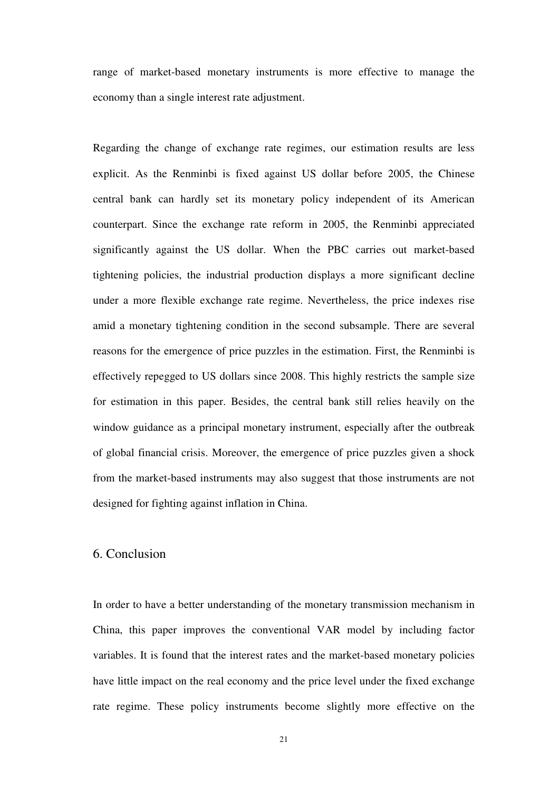range of market-based monetary instruments is more effective to manage the economy than a single interest rate adjustment.

Regarding the change of exchange rate regimes, our estimation results are less explicit. As the Renminbi is fixed against US dollar before 2005, the Chinese central bank can hardly set its monetary policy independent of its American counterpart. Since the exchange rate reform in 2005, the Renminbi appreciated significantly against the US dollar. When the PBC carries out market-based tightening policies, the industrial production displays a more significant decline under a more flexible exchange rate regime. Nevertheless, the price indexes rise amid a monetary tightening condition in the second subsample. There are several reasons for the emergence of price puzzles in the estimation. First, the Renminbi is effectively repegged to US dollars since 2008. This highly restricts the sample size for estimation in this paper. Besides, the central bank still relies heavily on the window guidance as a principal monetary instrument, especially after the outbreak of global financial crisis. Moreover, the emergence of price puzzles given a shock from the market-based instruments may also suggest that those instruments are not designed for fighting against inflation in China.

# 6. Conclusion

In order to have a better understanding of the monetary transmission mechanism in China, this paper improves the conventional VAR model by including factor variables. It is found that the interest rates and the market-based monetary policies have little impact on the real economy and the price level under the fixed exchange rate regime. These policy instruments become slightly more effective on the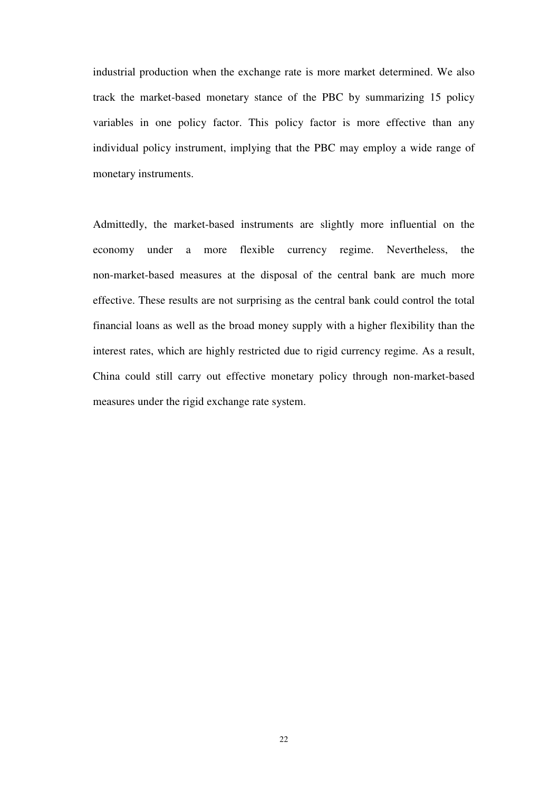industrial production when the exchange rate is more market determined. We also track the market-based monetary stance of the PBC by summarizing 15 policy variables in one policy factor. This policy factor is more effective than any individual policy instrument, implying that the PBC may employ a wide range of monetary instruments.

Admittedly, the market-based instruments are slightly more influential on the economy under a more flexible currency regime. Nevertheless, the non-market-based measures at the disposal of the central bank are much more effective. These results are not surprising as the central bank could control the total financial loans as well as the broad money supply with a higher flexibility than the interest rates, which are highly restricted due to rigid currency regime. As a result, China could still carry out effective monetary policy through non-market-based measures under the rigid exchange rate system.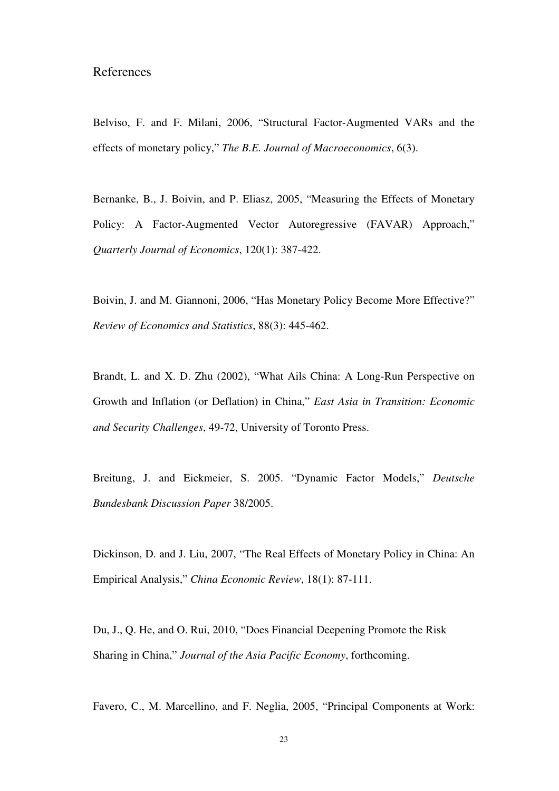# References

Belviso, F. and F. Milani, 2006, "Structural Factor-Augmented VARs and the effects of monetary policy," *The B.E. Journal of Macroeconomics*, 6(3).

Bernanke, B., J. Boivin, and P. Eliasz, 2005, "Measuring the Effects of Monetary Policy: A Factor-Augmented Vector Autoregressive (FAVAR) Approach," *Quarterly Journal of Economics*, 120(1): 387-422.

Boivin, J. and M. Giannoni, 2006, "Has Monetary Policy Become More Effective?" *Review of Economics and Statistics*, 88(3): 445-462.

Brandt, L. and X. D. Zhu (2002), "What Ails China: A Long-Run Perspective on Growth and Inflation (or Deflation) in China," *East Asia in Transition: Economic and Security Challenges*, 49-72, University of Toronto Press.

Breitung, J. and Eickmeier, S. 2005. "Dynamic Factor Models," *Deutsche Bundesbank Discussion Paper* 38/2005.

Dickinson, D. and J. Liu, 2007, "The Real Effects of Monetary Policy in China: An Empirical Analysis," *China Economic Review*, 18(1): 87-111.

Du, J., Q. He, and O. Rui, 2010, "Does Financial Deepening Promote the Risk Sharing in China," *Journal of the Asia Pacific Economy*, forthcoming.

Favero, C., M. Marcellino, and F. Neglia, 2005, "Principal Components at Work: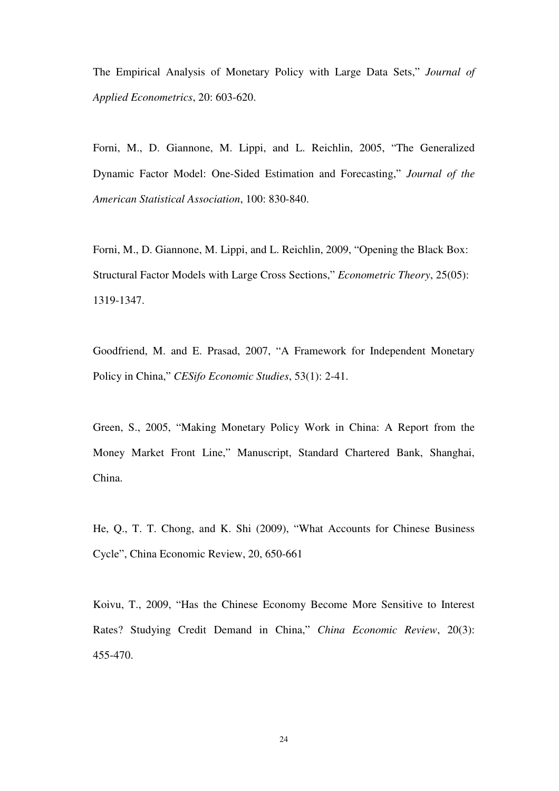The Empirical Analysis of Monetary Policy with Large Data Sets," *Journal of Applied Econometrics*, 20: 603-620.

Forni, M., D. Giannone, M. Lippi, and L. Reichlin, 2005, "The Generalized Dynamic Factor Model: One-Sided Estimation and Forecasting," *Journal of the American Statistical Association*, 100: 830-840.

Forni, M., D. Giannone, M. Lippi, and L. Reichlin, 2009, "Opening the Black Box: Structural Factor Models with Large Cross Sections," *Econometric Theory*, 25(05): 1319-1347.

Goodfriend, M. and E. Prasad, 2007, "A Framework for Independent Monetary Policy in China," *CESifo Economic Studies*, 53(1): 2-41.

Green, S., 2005, "Making Monetary Policy Work in China: A Report from the Money Market Front Line," Manuscript, Standard Chartered Bank, Shanghai, China.

He, Q., T. T. Chong, and K. Shi (2009), "What Accounts for Chinese Business Cycle", China Economic Review, 20, 650-661

Koivu, T., 2009, "Has the Chinese Economy Become More Sensitive to Interest Rates? Studying Credit Demand in China," *China Economic Review*, 20(3): 455-470.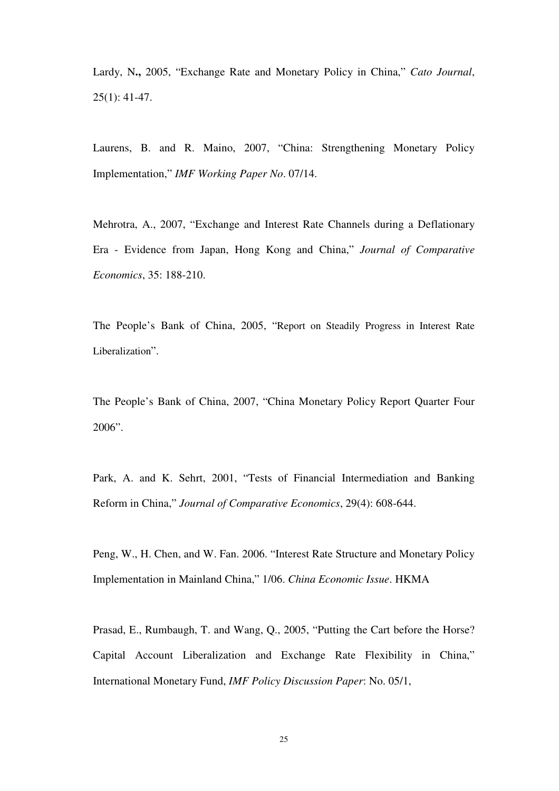Lardy, N**.,** 2005, "Exchange Rate and Monetary Policy in China," *Cato Journal*,  $25(1): 41-47.$ 

Laurens, B. and R. Maino, 2007, "China: Strengthening Monetary Policy Implementation," *IMF Working Paper No*. 07/14.

Mehrotra, A., 2007, "Exchange and Interest Rate Channels during a Deflationary Era - Evidence from Japan, Hong Kong and China," *Journal of Comparative Economics*, 35: 188-210.

The People's Bank of China, 2005, "Report on Steadily Progress in Interest Rate Liberalization".

The People's Bank of China, 2007, "China Monetary Policy Report Quarter Four 2006".

Park, A. and K. Sehrt, 2001, "Tests of Financial Intermediation and Banking Reform in China," *Journal of Comparative Economics*, 29(4): 608-644.

Peng, W., H. Chen, and W. Fan. 2006. "Interest Rate Structure and Monetary Policy Implementation in Mainland China," 1/06. *China Economic Issue*. HKMA

Prasad, E., Rumbaugh, T. and Wang, Q., 2005, "Putting the Cart before the Horse? Capital Account Liberalization and Exchange Rate Flexibility in China," International Monetary Fund, *IMF Policy Discussion Paper*: No. 05/1,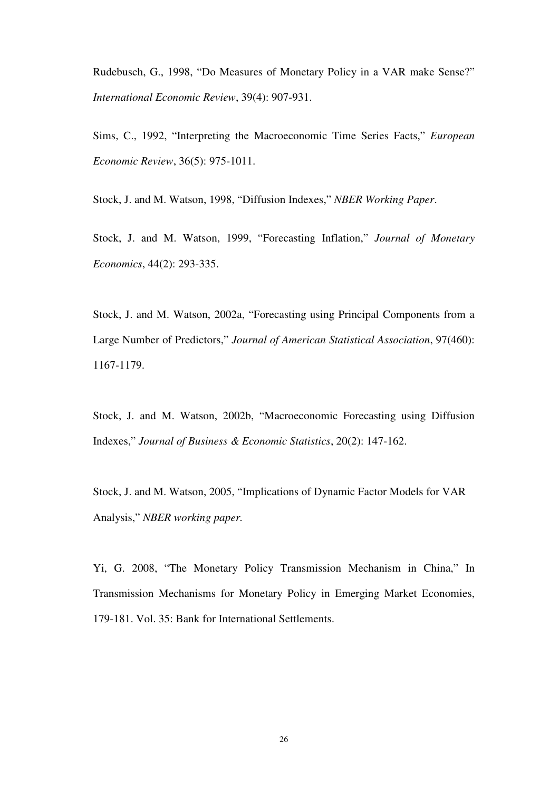Rudebusch, G., 1998, "Do Measures of Monetary Policy in a VAR make Sense?" *International Economic Review*, 39(4): 907-931.

Sims, C., 1992, "Interpreting the Macroeconomic Time Series Facts," *European Economic Review*, 36(5): 975-1011.

Stock, J. and M. Watson, 1998, "Diffusion Indexes," *NBER Working Paper*.

Stock, J. and M. Watson, 1999, "Forecasting Inflation," *Journal of Monetary Economics*, 44(2): 293-335.

Stock, J. and M. Watson, 2002a, "Forecasting using Principal Components from a Large Number of Predictors," *Journal of American Statistical Association*, 97(460): 1167-1179.

Stock, J. and M. Watson, 2002b, "Macroeconomic Forecasting using Diffusion Indexes," *Journal of Business & Economic Statistics*, 20(2): 147-162.

Stock, J. and M. Watson, 2005, "Implications of Dynamic Factor Models for VAR Analysis," *NBER working paper.*

Yi, G. 2008, "The Monetary Policy Transmission Mechanism in China," In Transmission Mechanisms for Monetary Policy in Emerging Market Economies, 179-181. Vol. 35: Bank for International Settlements.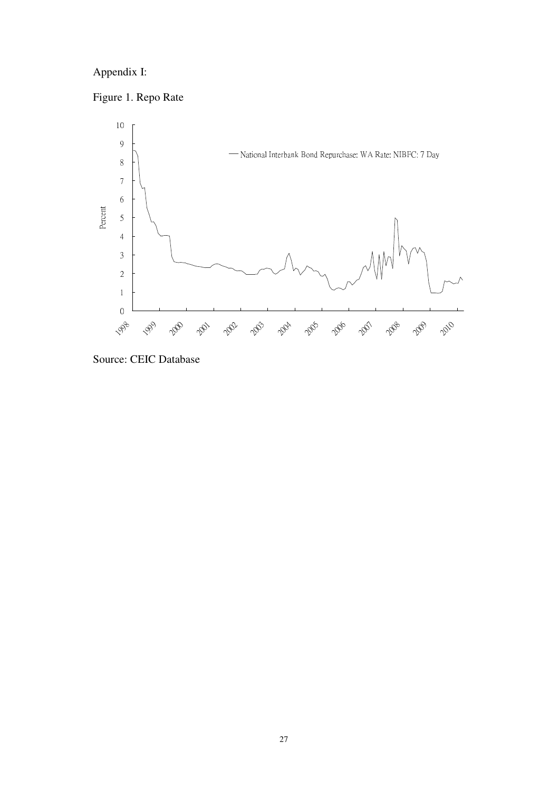# Appendix I:

Figure 1. Repo Rate



Source: CEIC Database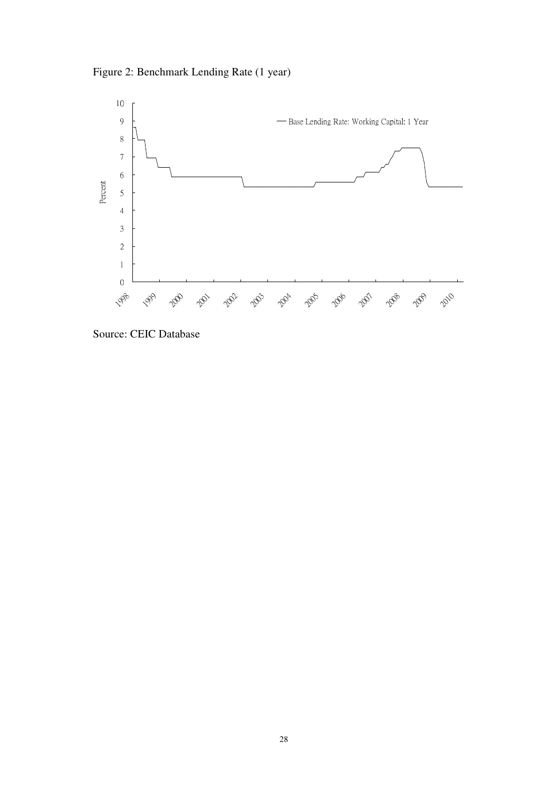Figure 2: Benchmark Lending Rate (1 year)



Source: CEIC Database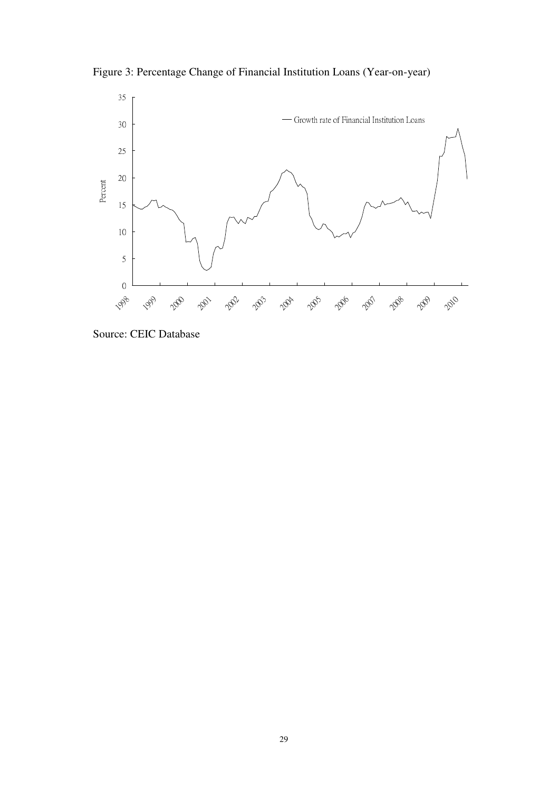Figure 3: Percentage Change of Financial Institution Loans (Year-on-year)



Source: CEIC Database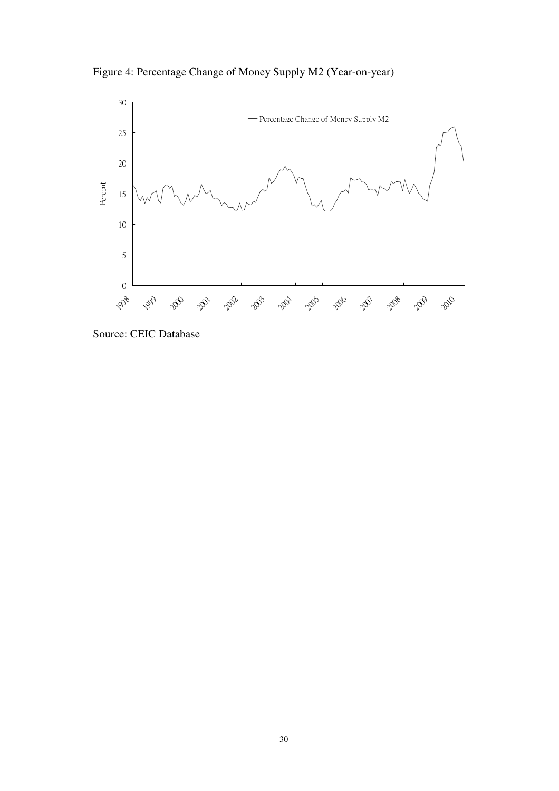Figure 4: Percentage Change of Money Supply M2 (Year-on-year)



Source: CEIC Database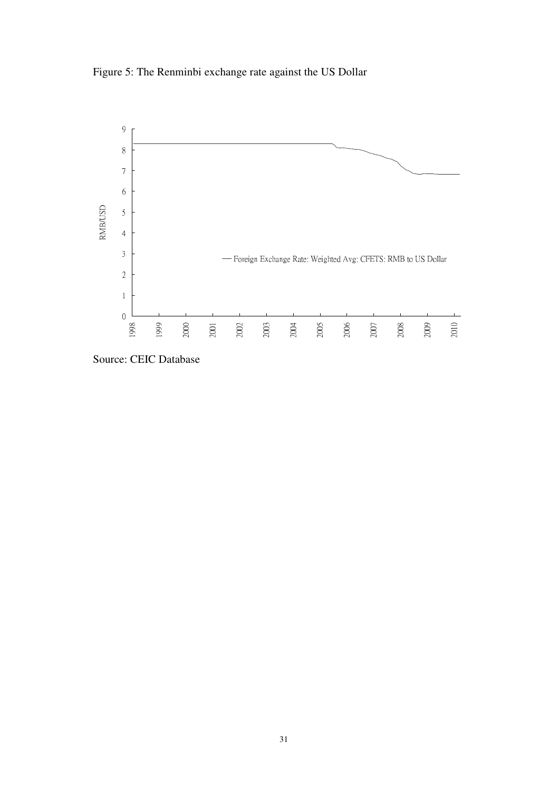Figure 5: The Renminbi exchange rate against the US Dollar



Source: CEIC Database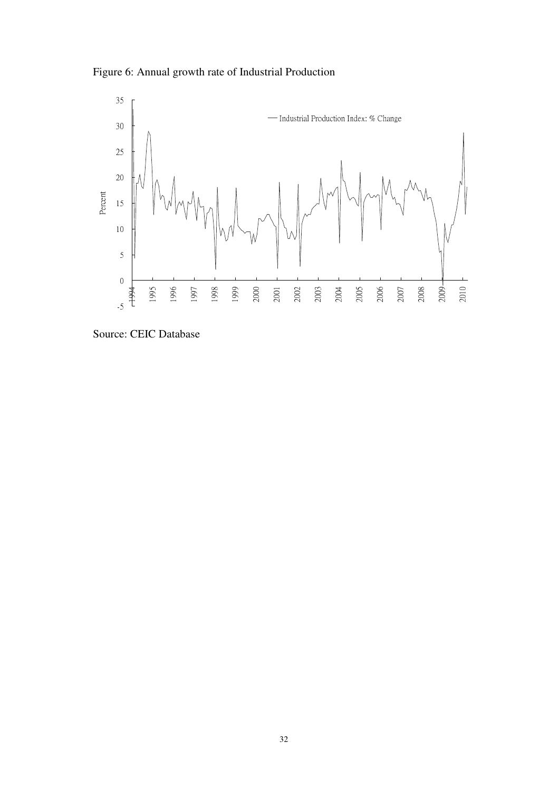Figure 6: Annual growth rate of Industrial Production



Source: CEIC Database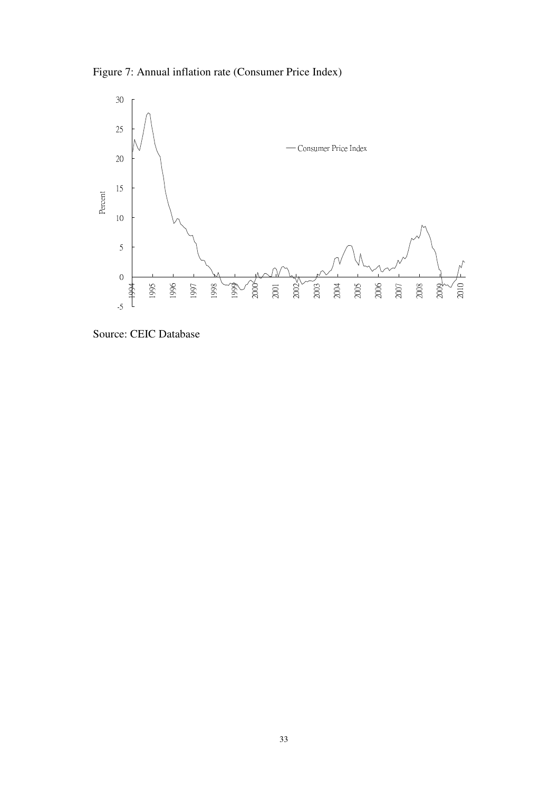Figure 7: Annual inflation rate (Consumer Price Index)



Source: CEIC Database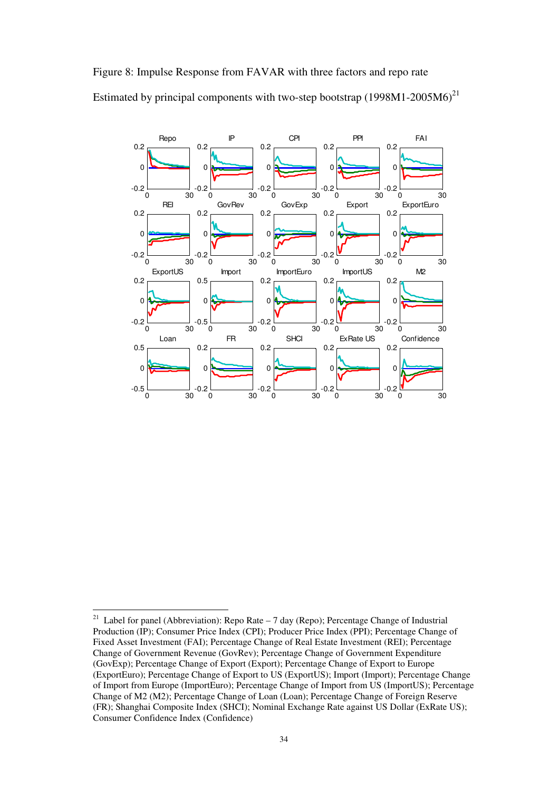



 $21$ Label for panel (Abbreviation): Repo Rate  $-7$  day (Repo); Percentage Change of Industrial Production (IP); Consumer Price Index (CPI); Producer Price Index (PPI); Percentage Change of Fixed Asset Investment (FAI); Percentage Change of Real Estate Investment (REI); Percentage Change of Government Revenue (GovRev); Percentage Change of Government Expenditure (GovExp); Percentage Change of Export (Export); Percentage Change of Export to Europe (ExportEuro); Percentage Change of Export to US (ExportUS); Import (Import); Percentage Change of Import from Europe (ImportEuro); Percentage Change of Import from US (ImportUS); Percentage Change of M2 (M2); Percentage Change of Loan (Loan); Percentage Change of Foreign Reserve (FR); Shanghai Composite Index (SHCI); Nominal Exchange Rate against US Dollar (ExRate US); Consumer Confidence Index (Confidence)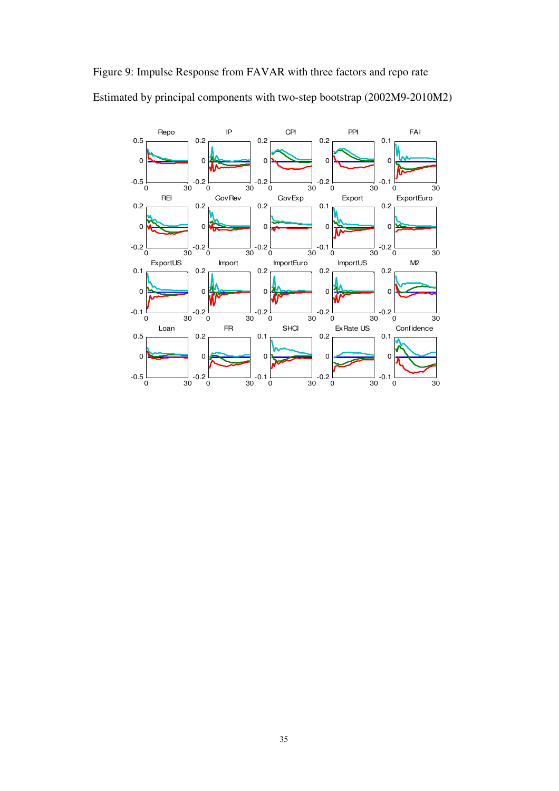

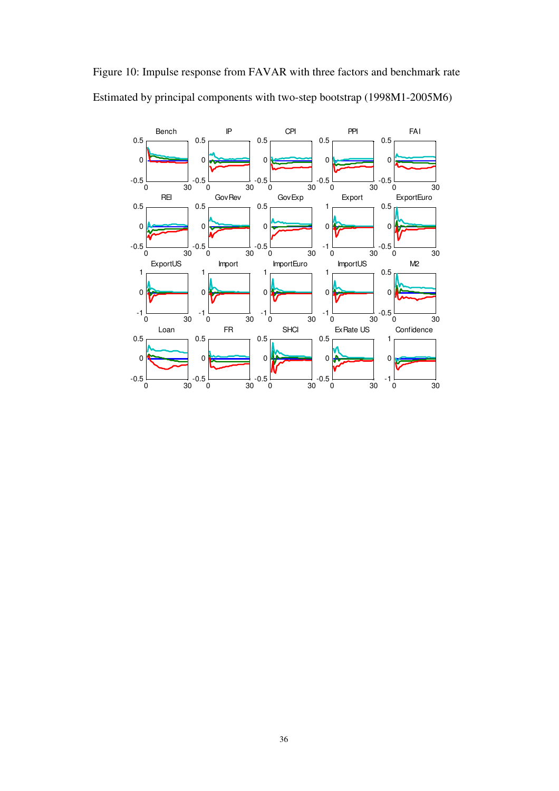

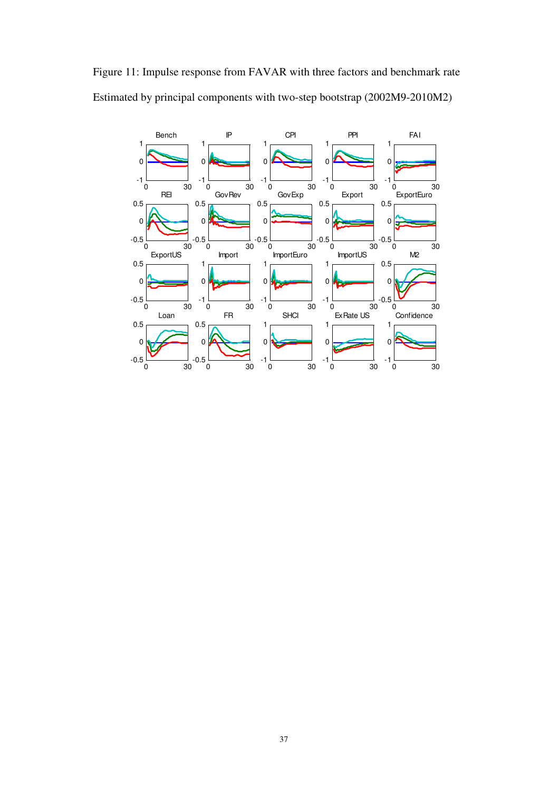

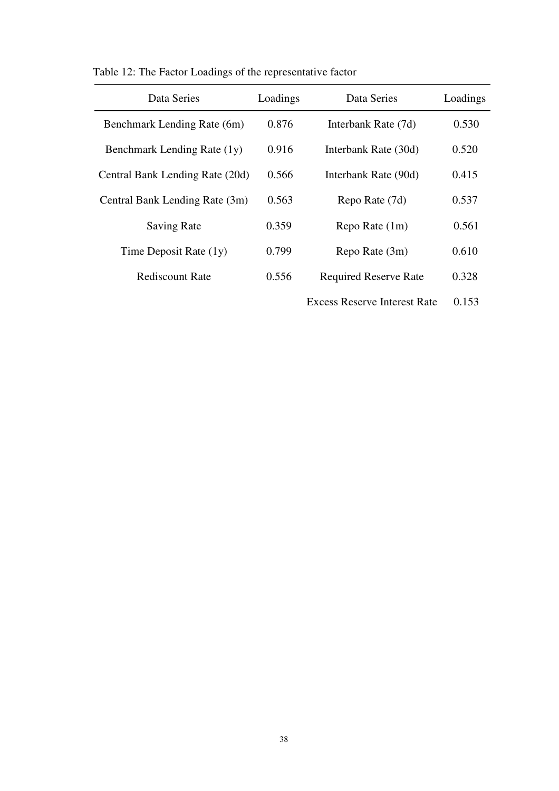| Data Series                     | Loadings | Data Series                  | Loadings |
|---------------------------------|----------|------------------------------|----------|
| Benchmark Lending Rate (6m)     | 0.876    | Interbank Rate (7d)          | 0.530    |
| Benchmark Lending Rate (1y)     | 0.916    | Interbank Rate (30d)         | 0.520    |
| Central Bank Lending Rate (20d) | 0.566    | Interbank Rate (90d)         | 0.415    |
| Central Bank Lending Rate (3m)  | 0.563    | Repo Rate (7d)               | 0.537    |
| <b>Saving Rate</b>              | 0.359    | Repo Rate (1m)               | 0.561    |
| Time Deposit Rate $(1y)$        | 0.799    | Repo Rate (3m)               | 0.610    |
| Rediscount Rate                 | 0.556    | <b>Required Reserve Rate</b> | 0.328    |
|                                 |          |                              |          |

Table 12: The Factor Loadings of the representative factor

Excess Reserve Interest Rate 0.153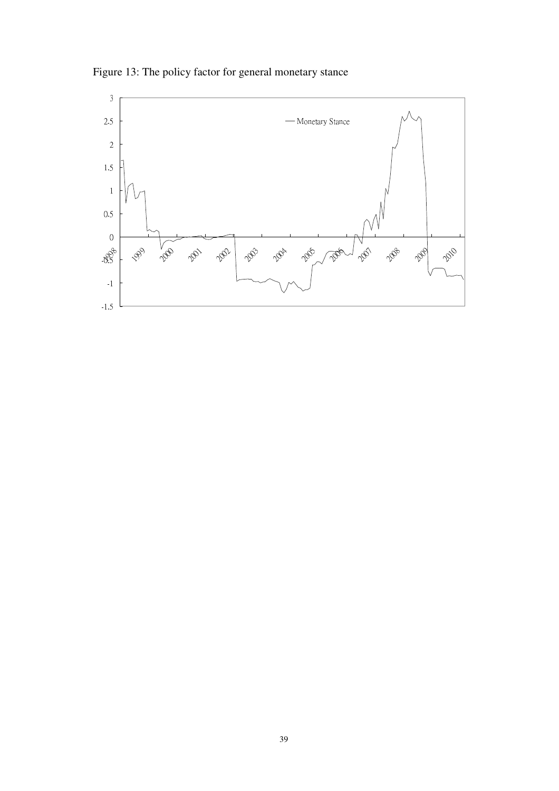Figure 13: The policy factor for general monetary stance

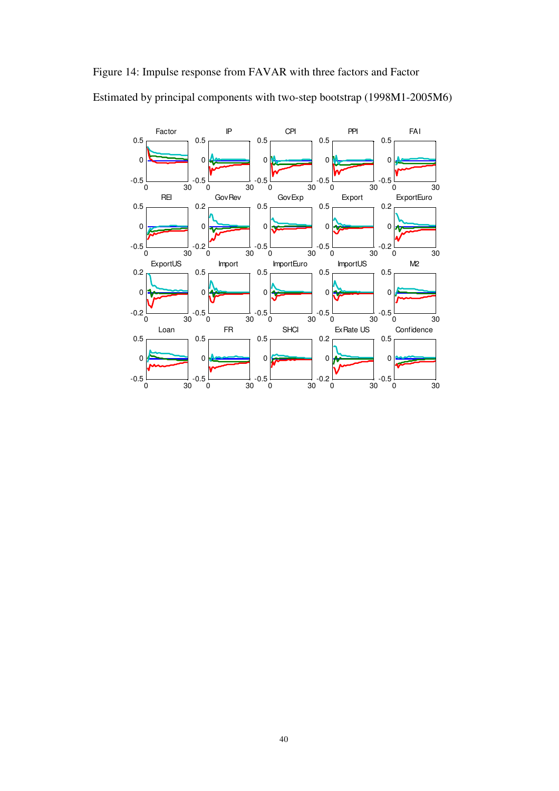# Figure 14: Impulse response from FAVAR with three factors and Factor

Estimated by principal components with two-step bootstrap (1998M1-2005M6)

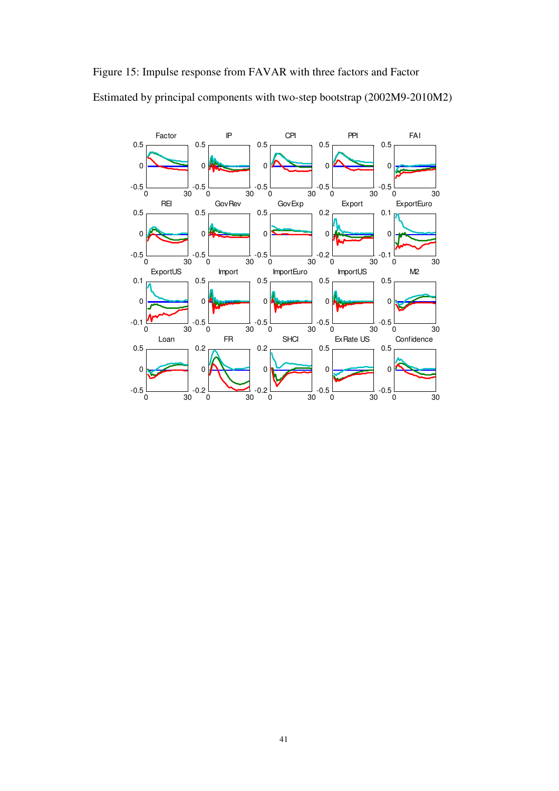

Estimated by principal components with two-step bootstrap (2002M9-2010M2)

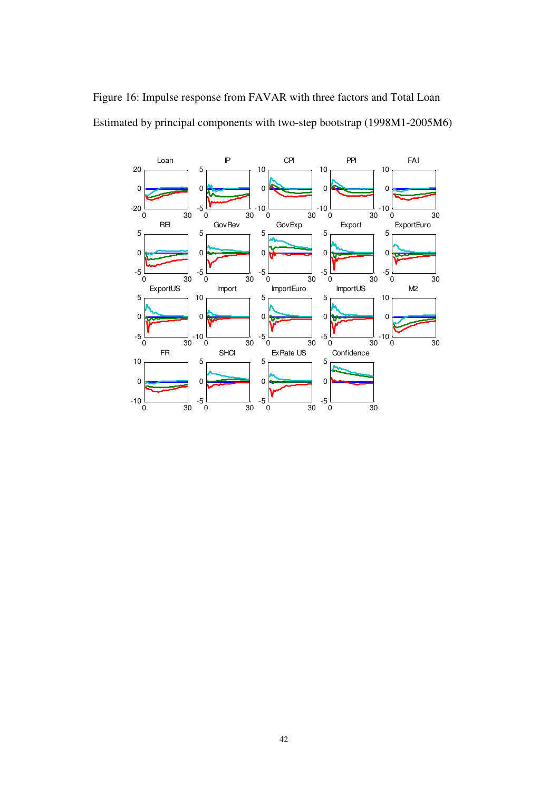

Figure 16: Impulse response from FAVAR with three factors and Total Loan Estimated by principal components with two-step bootstrap (1998M1-2005M6)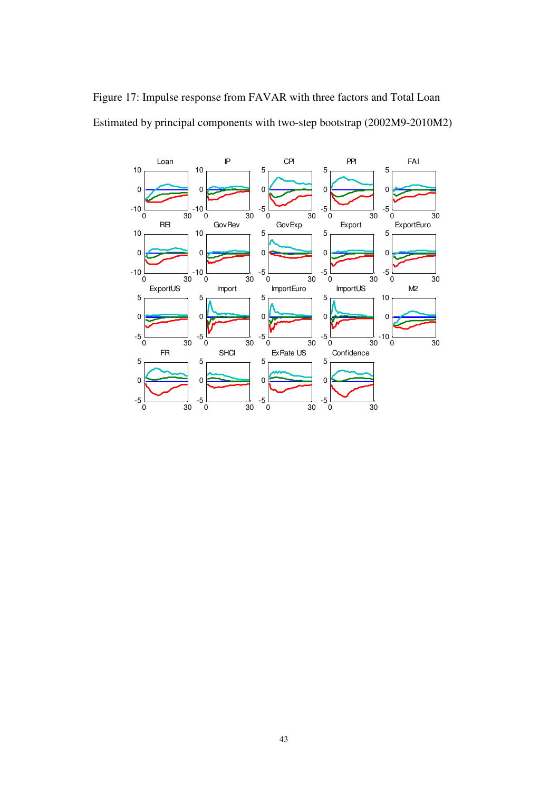

Figure 17: Impulse response from FAVAR with three factors and Total Loan Estimated by principal components with two-step bootstrap (2002M9-2010M2)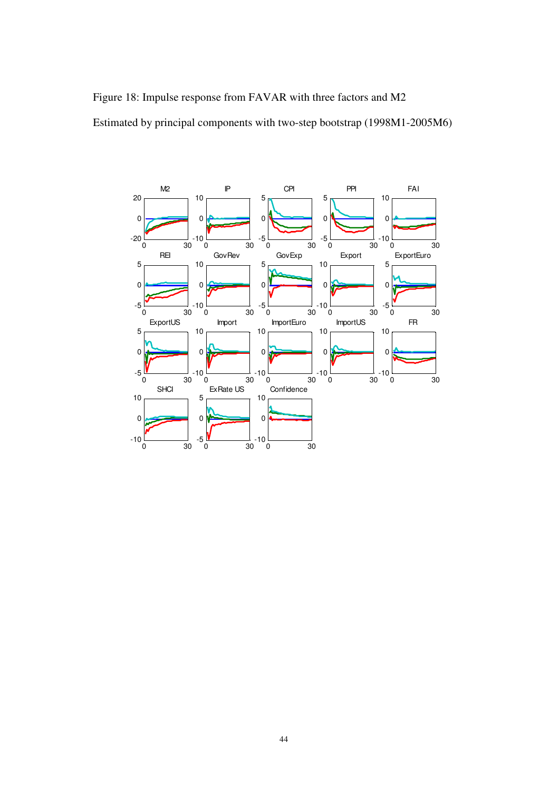Figure 18: Impulse response from FAVAR with three factors and M2 Estimated by principal components with two-step bootstrap (1998M1-2005M6)

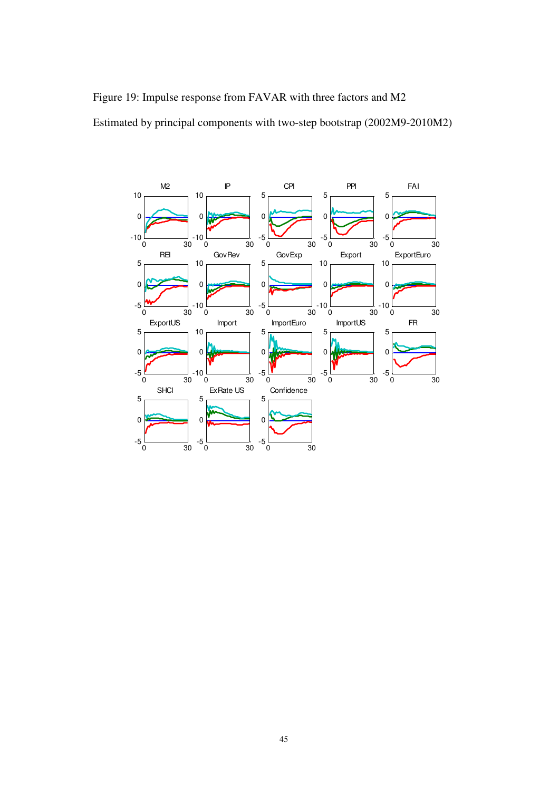Figure 19: Impulse response from FAVAR with three factors and M2 Estimated by principal components with two-step bootstrap (2002M9-2010M2)

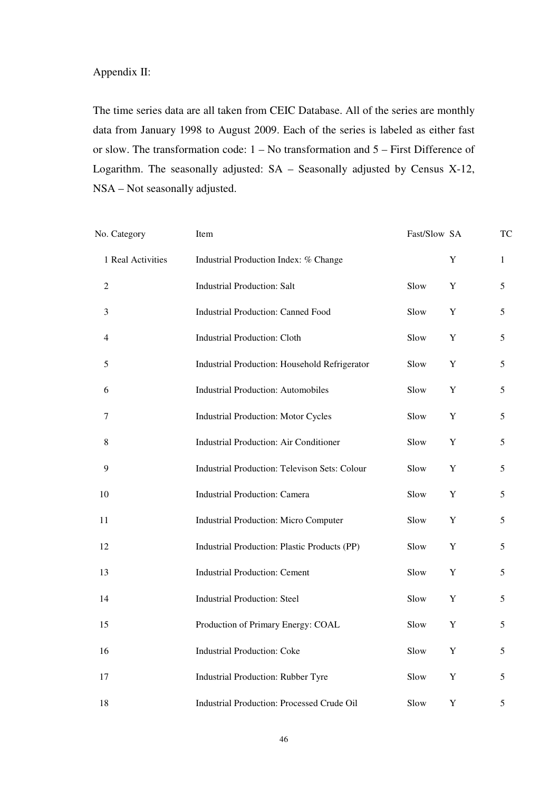# Appendix II:

The time series data are all taken from CEIC Database. All of the series are monthly data from January 1998 to August 2009. Each of the series is labeled as either fast or slow. The transformation code: 1 – No transformation and 5 – First Difference of Logarithm. The seasonally adjusted: SA – Seasonally adjusted by Census X-12, NSA – Not seasonally adjusted.

| No. Category      | Item                                                 | Fast/Slow SA |             | TC |
|-------------------|------------------------------------------------------|--------------|-------------|----|
| 1 Real Activities | Industrial Production Index: % Change                |              | $\mathbf Y$ | 1  |
| $\overline{2}$    | <b>Industrial Production: Salt</b>                   | Slow         | Y           | 5  |
| $\mathfrak{Z}$    | <b>Industrial Production: Canned Food</b>            | Slow         | $\mathbf Y$ | 5  |
| $\overline{4}$    | <b>Industrial Production: Cloth</b>                  | Slow         | $\mathbf Y$ | 5  |
| 5                 | Industrial Production: Household Refrigerator        | Slow         | $\mathbf Y$ | 5  |
| 6                 | <b>Industrial Production: Automobiles</b>            | Slow         | $\mathbf Y$ | 5  |
| 7                 | <b>Industrial Production: Motor Cycles</b>           | Slow         | $\mathbf Y$ | 5  |
| 8                 | <b>Industrial Production: Air Conditioner</b>        | Slow         | $\mathbf Y$ | 5  |
| 9                 | <b>Industrial Production: Televison Sets: Colour</b> | Slow         | $\mathbf Y$ | 5  |
| 10                | <b>Industrial Production: Camera</b>                 | Slow         | $\mathbf Y$ | 5  |
| 11                | <b>Industrial Production: Micro Computer</b>         | Slow         | $\mathbf Y$ | 5  |
| 12                | Industrial Production: Plastic Products (PP)         | Slow         | $\mathbf Y$ | 5  |
| 13                | <b>Industrial Production: Cement</b>                 | Slow         | Y           | 5  |
| 14                | <b>Industrial Production: Steel</b>                  | Slow         | Y           | 5  |
| 15                | Production of Primary Energy: COAL                   | Slow         | Y           | 5  |
| 16                | <b>Industrial Production: Coke</b>                   | Slow         | $\mathbf Y$ | 5  |
| 17                | Industrial Production: Rubber Tyre                   | Slow         | $\mathbf Y$ | 5  |
| 18                | <b>Industrial Production: Processed Crude Oil</b>    | Slow         | Y           | 5  |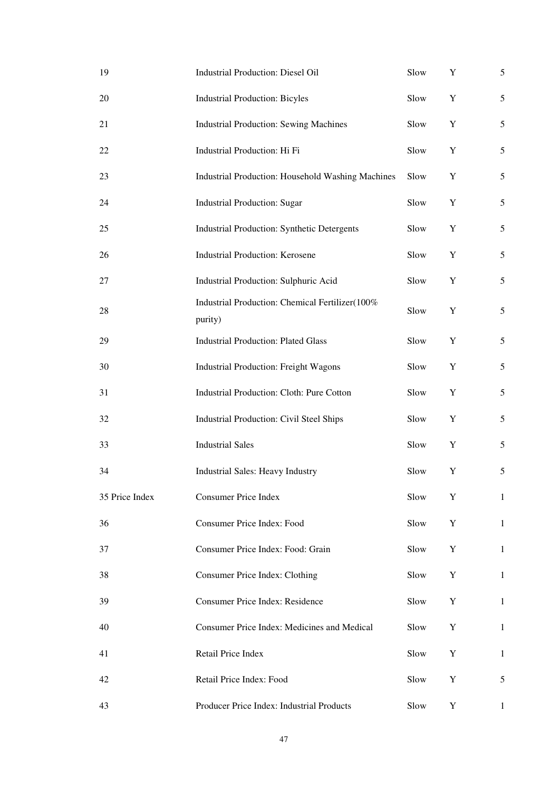| 19             | <b>Industrial Production: Diesel Oil</b>                   | Slow | Y | 5              |
|----------------|------------------------------------------------------------|------|---|----------------|
| 20             | <b>Industrial Production: Bicyles</b>                      | Slow | Y | $\sqrt{5}$     |
| 21             | <b>Industrial Production: Sewing Machines</b>              | Slow | Y | 5              |
| 22             | Industrial Production: Hi Fi                               | Slow | Y | 5              |
| 23             | Industrial Production: Household Washing Machines          | Slow | Y | 5              |
| 24             | <b>Industrial Production: Sugar</b>                        | Slow | Y | $\mathfrak{S}$ |
| 25             | Industrial Production: Synthetic Detergents                | Slow | Y | 5              |
| 26             | <b>Industrial Production: Kerosene</b>                     | Slow | Y | 5              |
| 27             | Industrial Production: Sulphuric Acid                      | Slow | Y | 5              |
| 28             | Industrial Production: Chemical Fertilizer(100%<br>purity) | Slow | Y | 5              |
| 29             | <b>Industrial Production: Plated Glass</b>                 | Slow | Y | 5              |
| 30             | Industrial Production: Freight Wagons                      | Slow | Y | $\mathfrak{S}$ |
| 31             | Industrial Production: Cloth: Pure Cotton                  | Slow | Y | $\mathfrak{S}$ |
| 32             | Industrial Production: Civil Steel Ships                   | Slow | Y | 5              |
| 33             | <b>Industrial Sales</b>                                    | Slow | Y | 5              |
| 34             | Industrial Sales: Heavy Industry                           | Slow | Y | $\sqrt{5}$     |
| 35 Price Index | Consumer Price Index                                       | Slow | Y | $\mathbf{1}$   |
| 36             | Consumer Price Index: Food                                 | Slow | Y | $\mathbf{1}$   |
| 37             | Consumer Price Index: Food: Grain                          | Slow | Y | 1              |
| 38             | Consumer Price Index: Clothing                             | Slow | Y | $\mathbf{1}$   |
| 39             | <b>Consumer Price Index: Residence</b>                     | Slow | Y | $\mathbf{1}$   |
| 40             | Consumer Price Index: Medicines and Medical                | Slow | Y | 1              |
| 41             | Retail Price Index                                         | Slow | Y | $\mathbf{1}$   |
| 42             | Retail Price Index: Food                                   | Slow | Y | 5              |
| 43             | Producer Price Index: Industrial Products                  | Slow | Y | $\mathbf{1}$   |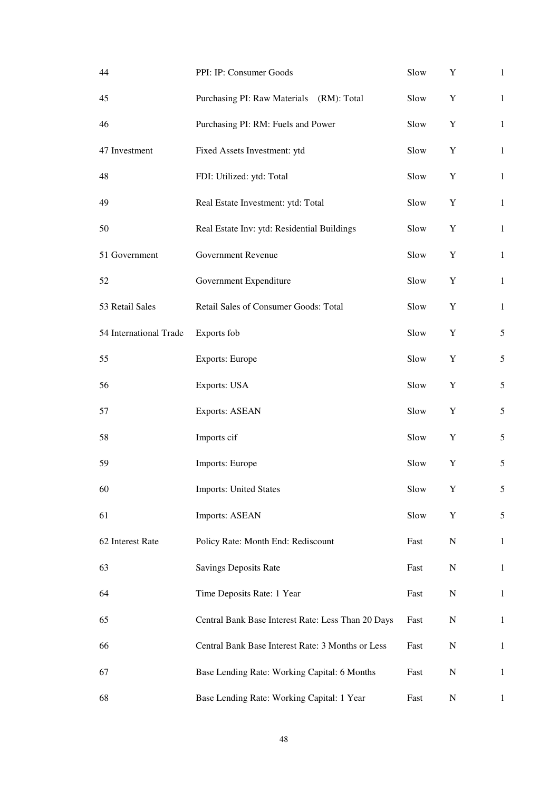| 44                     | PPI: IP: Consumer Goods                            | Slow | Y           | $\mathbf{1}$   |
|------------------------|----------------------------------------------------|------|-------------|----------------|
| 45                     | Purchasing PI: Raw Materials (RM): Total           | Slow | Y           | $\mathbf{1}$   |
| 46                     | Purchasing PI: RM: Fuels and Power                 | Slow | Y           | $\mathbf{1}$   |
| 47 Investment          | Fixed Assets Investment: ytd                       | Slow | Y           | $\mathbf{1}$   |
| 48                     | FDI: Utilized: ytd: Total                          | Slow | Y           | $\mathbf{1}$   |
| 49                     | Real Estate Investment: ytd: Total                 | Slow | Y           | $\mathbf{1}$   |
| 50                     | Real Estate Inv: ytd: Residential Buildings        | Slow | Y           | $\mathbf{1}$   |
| 51 Government          | Government Revenue                                 | Slow | Y           | $\mathbf{1}$   |
| 52                     | Government Expenditure                             | Slow | Y           | $\mathbf{1}$   |
| 53 Retail Sales        | Retail Sales of Consumer Goods: Total              | Slow | Y           | $\mathbf{1}$   |
| 54 International Trade | Exports fob                                        | Slow | Y           | 5              |
| 55                     | <b>Exports: Europe</b>                             | Slow | Y           | $\mathfrak{S}$ |
| 56                     | <b>Exports: USA</b>                                | Slow | Y           | 5              |
| 57                     | <b>Exports: ASEAN</b>                              | Slow | Y           | 5              |
| 58                     | Imports cif                                        | Slow | Y           | 5              |
| 59                     | Imports: Europe                                    | Slow | Y           | 5              |
| 60                     | <b>Imports: United States</b>                      | Slow | Y           | 5              |
| 61                     | <b>Imports: ASEAN</b>                              | Slow | $\mathbf Y$ | 5              |
| 62 Interest Rate       | Policy Rate: Month End: Rediscount                 | Fast | ${\bf N}$   | $\mathbf{1}$   |
| 63                     | <b>Savings Deposits Rate</b>                       | Fast | ${\bf N}$   | $\mathbf{1}$   |
| 64                     | Time Deposits Rate: 1 Year                         | Fast | ${\bf N}$   | $\mathbf{1}$   |
| 65                     | Central Bank Base Interest Rate: Less Than 20 Days | Fast | ${\bf N}$   | $\mathbf{1}$   |
| 66                     | Central Bank Base Interest Rate: 3 Months or Less  | Fast | ${\bf N}$   | $\mathbf{1}$   |
| 67                     | Base Lending Rate: Working Capital: 6 Months       | Fast | ${\bf N}$   | $\mathbf{1}$   |
| 68                     | Base Lending Rate: Working Capital: 1 Year         | Fast | N           | $\mathbf{1}$   |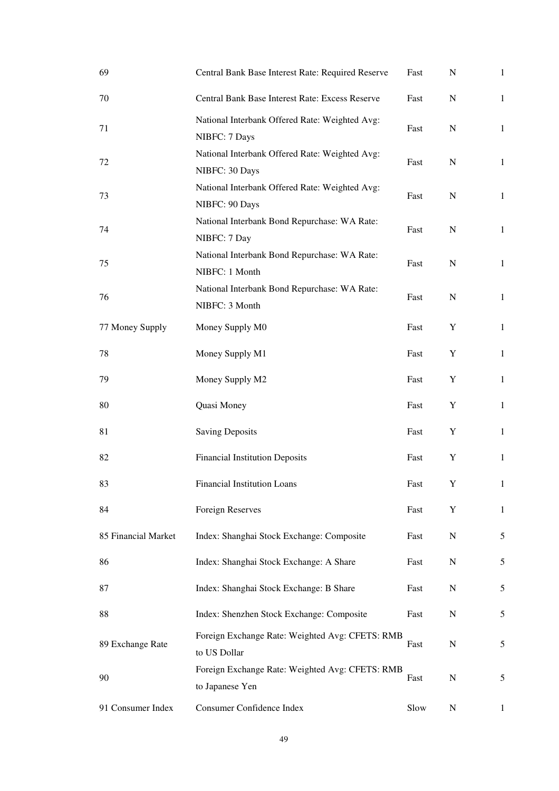| 69                  | Central Bank Base Interest Rate: Required Reserve                  | Fast | ${\bf N}$ | $\mathbf{1}$ |
|---------------------|--------------------------------------------------------------------|------|-----------|--------------|
| 70                  | Central Bank Base Interest Rate: Excess Reserve                    | Fast | ${\bf N}$ | $\mathbf{1}$ |
| 71                  | National Interbank Offered Rate: Weighted Avg:<br>NIBFC: 7 Days    | Fast | N         | $\mathbf{1}$ |
| 72                  | National Interbank Offered Rate: Weighted Avg:<br>NIBFC: 30 Days   | Fast | N         | $\mathbf{1}$ |
| 73                  | National Interbank Offered Rate: Weighted Avg:<br>NIBFC: 90 Days   | Fast | N         | $\mathbf{1}$ |
| 74                  | National Interbank Bond Repurchase: WA Rate:<br>NIBFC: 7 Day       | Fast | N         | $\mathbf{1}$ |
| 75                  | National Interbank Bond Repurchase: WA Rate:<br>NIBFC: 1 Month     | Fast | N         | $\mathbf{1}$ |
| 76                  | National Interbank Bond Repurchase: WA Rate:<br>NIBFC: 3 Month     | Fast | N         | $\mathbf{1}$ |
| 77 Money Supply     | Money Supply M0                                                    | Fast | Y         | $\mathbf{1}$ |
| 78                  | Money Supply M1                                                    | Fast | Y         | $\mathbf{1}$ |
| 79                  | Money Supply M2                                                    | Fast | Y         | $\mathbf{1}$ |
| 80                  | Quasi Money                                                        | Fast | Y         | $\mathbf{1}$ |
| 81                  | <b>Saving Deposits</b>                                             | Fast | Y         | $\mathbf{1}$ |
| 82                  | <b>Financial Institution Deposits</b>                              | Fast | Y         | $\mathbf{1}$ |
| 83                  | Financial Institution Loans                                        | Fast | Y         | $\mathbf{1}$ |
| 84                  | Foreign Reserves                                                   | Fast | Y         | 1            |
| 85 Financial Market | Index: Shanghai Stock Exchange: Composite                          | Fast | ${\bf N}$ | 5            |
| 86                  | Index: Shanghai Stock Exchange: A Share                            | Fast | N         | 5            |
| 87                  | Index: Shanghai Stock Exchange: B Share                            | Fast | N         | 5            |
| 88                  | Index: Shenzhen Stock Exchange: Composite                          | Fast | ${\bf N}$ | 5            |
| 89 Exchange Rate    | Foreign Exchange Rate: Weighted Avg: CFETS: RMB<br>to US Dollar    | Fast | N         | 5            |
| 90                  | Foreign Exchange Rate: Weighted Avg: CFETS: RMB<br>to Japanese Yen | Fast | N         | 5            |
| 91 Consumer Index   | Consumer Confidence Index                                          | Slow | ${\bf N}$ | $\mathbf{1}$ |